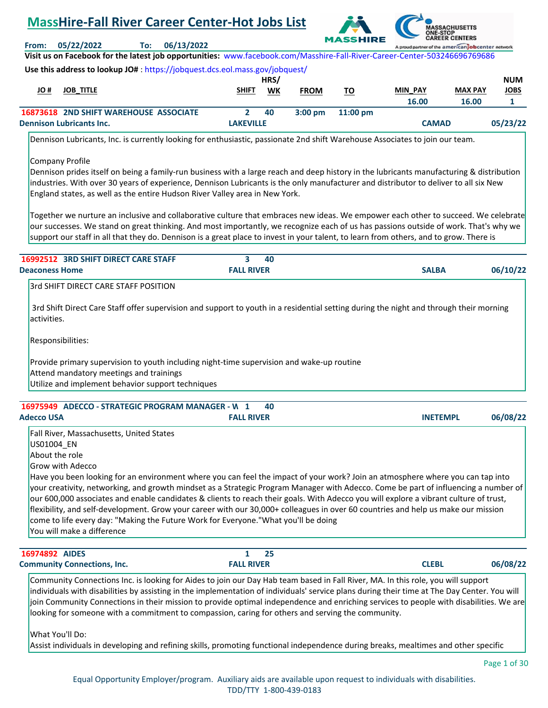# **MassHire-Fall River Career Center-Hot Jobs List**



**Visit us on Facebook for the latest job opportunities:** [www.facebook.com/Masshire-Fall-River-Career-Center-503246696769686](https://www.facebook.com/Masshire-Fall-River-Career-Center-503246696769686)

**From: 05/22/2022 To: 06/13/2022**

|      | .                                             |              | HRS/ |                   |                    |                |                | <b>NUM</b>  |
|------|-----------------------------------------------|--------------|------|-------------------|--------------------|----------------|----------------|-------------|
| # OL | <b>JOB TITLE</b>                              | <b>SHIFT</b> | WK   | <b>FROM</b>       | <u>TO</u>          | <b>MIN PAY</b> | <b>MAX PAY</b> | <b>JOBS</b> |
|      |                                               |              |      |                   |                    | 16.00          | 16.00          |             |
|      | <b>16873618 2ND SHIFT WAREHOUSE ASSOCIATE</b> |              | 40   | $3:00 \text{ pm}$ | $11:00 \text{ pm}$ |                |                |             |
|      | <b>Dennison Lubricants Inc.</b>               | LAKEVILLE    |      |                   |                    | <b>CAMAD</b>   |                | 05/23/22    |

Dennison Lubricants, Inc. is currently looking for enthusiastic, passionate 2nd shift Warehouse Associates to join our team.

# Company Profile

Dennison prides itself on being a family-run business with a large reach and deep history in the lubricants manufacturing & distribution industries. With over 30 years of experience, Dennison Lubricants is the only manufacturer and distributor to deliver to all six New England states, as well as the entire Hudson River Valley area in New York.

Together we nurture an inclusive and collaborative culture that embraces new ideas. We empower each other to succeed. We celebrate our successes. We stand on great thinking. And most importantly, we recognize each of us has passions outside of work. That's why we support our staff in all that they do. Dennison is a great place to invest in your talent, to learn from others, and to grow. There is

| <b>16992512 3RD SHIFT DIRECT CARE STAFF</b>                                                                                                                                               | 3<br>40           |              |          |
|-------------------------------------------------------------------------------------------------------------------------------------------------------------------------------------------|-------------------|--------------|----------|
| <b>Deaconess Home</b>                                                                                                                                                                     | <b>FALL RIVER</b> | <b>SALBA</b> | 06/10/22 |
| 3rd SHIFT DIRECT CARE STAFF POSITION                                                                                                                                                      |                   |              |          |
| 3rd Shift Direct Care Staff offer supervision and support to youth in a residential setting during the night and through their morning<br>lactivities.                                    |                   |              |          |
| Responsibilities:                                                                                                                                                                         |                   |              |          |
| Provide primary supervision to youth including night-time supervision and wake-up routine<br>Attend mandatory meetings and trainings<br>Utilize and implement behavior support techniques |                   |              |          |
|                                                                                                                                                                                           |                   |              |          |
| ADECCO - STRATEGIC PROGRAM MANAGER - W<br>16975949                                                                                                                                        | 40                |              |          |

| <b>Adecco USA</b>                                                                                                           | <b>FALL RIVER</b>                                                                                                                                                                                                                                                                                                                                                                                                                                                                                                                                                                                                                         | <b>INETEMPL</b> | 06/08/22 |
|-----------------------------------------------------------------------------------------------------------------------------|-------------------------------------------------------------------------------------------------------------------------------------------------------------------------------------------------------------------------------------------------------------------------------------------------------------------------------------------------------------------------------------------------------------------------------------------------------------------------------------------------------------------------------------------------------------------------------------------------------------------------------------------|-----------------|----------|
| Fall River, Massachusetts, United States<br>US01004 EN<br>About the role<br>Grow with Adecco<br>lYou will make a difference | Have you been looking for an environment where you can feel the impact of your work? Join an atmosphere where you can tap into<br>your creativity, networking, and growth mindset as a Strategic Program Manager with Adecco. Come be part of influencing a number of<br>our 600,000 associates and enable candidates & clients to reach their goals. With Adecco you will explore a vibrant culture of trust,<br>flexibility, and self-development. Grow your career with our 30,000+ colleagues in over 60 countries and help us make our mission<br>come to life every day: "Making the Future Work for Everyone."What you'll be doing |                 |          |

| 16974892 AIDES                     | 25                |       |          |
|------------------------------------|-------------------|-------|----------|
| <b>Community Connections, Inc.</b> | <b>FALL RIVER</b> | CLEBL | 06/08/22 |
|                                    |                   |       |          |

Community Connections Inc. is looking for Aides to join our Day Hab team based in Fall River, MA. In this role, you will support individuals with disabilities by assisting in the implementation of individuals' service plans during their time at The Day Center. You will join Community Connections in their mission to provide optimal independence and enriching services to people with disabilities. We are looking for someone with a commitment to compassion, caring for others and serving the community.

What You'll Do:

Assist individuals in developing and refining skills, promoting functional independence during breaks, mealtimes and other specific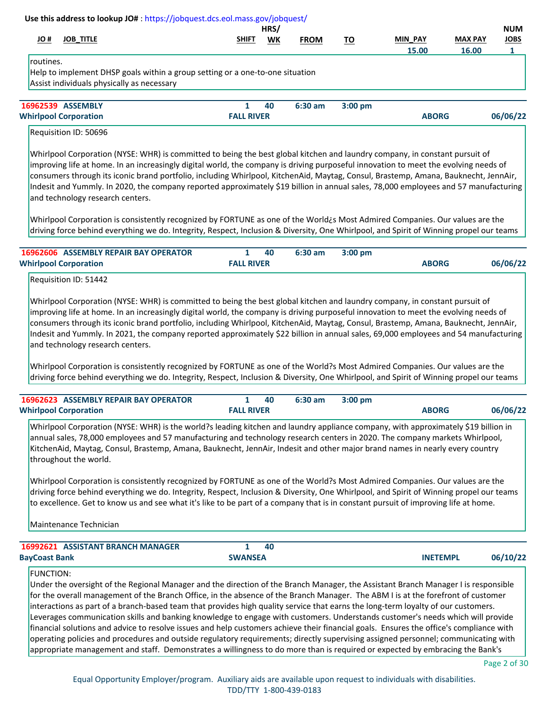|           |                                                                                                                                                                                                                                                                                                                                                                                                                                                                                                                                                                                       |                   | HRS/ |             |           |                |                | <b>NUM</b>  |
|-----------|---------------------------------------------------------------------------------------------------------------------------------------------------------------------------------------------------------------------------------------------------------------------------------------------------------------------------------------------------------------------------------------------------------------------------------------------------------------------------------------------------------------------------------------------------------------------------------------|-------------------|------|-------------|-----------|----------------|----------------|-------------|
| # OL      | <b>JOB TITLE</b>                                                                                                                                                                                                                                                                                                                                                                                                                                                                                                                                                                      | <b>SHIFT</b>      | WK   | <b>FROM</b> | TO        | <b>MIN PAY</b> | <b>MAX PAY</b> | <b>JOBS</b> |
|           |                                                                                                                                                                                                                                                                                                                                                                                                                                                                                                                                                                                       |                   |      |             |           | 15.00          | 16.00          | 1           |
| routines. |                                                                                                                                                                                                                                                                                                                                                                                                                                                                                                                                                                                       |                   |      |             |           |                |                |             |
|           | Help to implement DHSP goals within a group setting or a one-to-one situation                                                                                                                                                                                                                                                                                                                                                                                                                                                                                                         |                   |      |             |           |                |                |             |
|           | Assist individuals physically as necessary                                                                                                                                                                                                                                                                                                                                                                                                                                                                                                                                            |                   |      |             |           |                |                |             |
|           | 16962539 ASSEMBLY                                                                                                                                                                                                                                                                                                                                                                                                                                                                                                                                                                     | 1                 | 40   | $6:30$ am   | $3:00$ pm |                |                |             |
|           | <b>Whirlpool Corporation</b>                                                                                                                                                                                                                                                                                                                                                                                                                                                                                                                                                          | <b>FALL RIVER</b> |      |             |           | <b>ABORG</b>   |                | 06/06/22    |
|           | Requisition ID: 50696                                                                                                                                                                                                                                                                                                                                                                                                                                                                                                                                                                 |                   |      |             |           |                |                |             |
|           | Whirlpool Corporation (NYSE: WHR) is committed to being the best global kitchen and laundry company, in constant pursuit of<br>improving life at home. In an increasingly digital world, the company is driving purposeful innovation to meet the evolving needs of<br>consumers through its iconic brand portfolio, including Whirlpool, KitchenAid, Maytag, Consul, Brastemp, Amana, Bauknecht, JennAir,<br>Indesit and Yummly. In 2020, the company reported approximately \$19 billion in annual sales, 78,000 employees and 57 manufacturing<br>and technology research centers. |                   |      |             |           |                |                |             |
|           | Whirlpool Corporation is consistently recognized by FORTUNE as one of the World¿s Most Admired Companies. Our values are the<br>driving force behind everything we do. Integrity, Respect, Inclusion & Diversity, One Whirlpool, and Spirit of Winning propel our teams                                                                                                                                                                                                                                                                                                               |                   |      |             |           |                |                |             |

Requisition ID: 51442

Whirlpool Corporation (NYSE: WHR) is committed to being the best global kitchen and laundry company, in constant pursuit of improving life at home. In an increasingly digital world, the company is driving purposeful innovation to meet the evolving needs of consumers through its iconic brand portfolio, including Whirlpool, KitchenAid, Maytag, Consul, Brastemp, Amana, Bauknecht, JennAir, Indesit and Yummly. In 2021, the company reported approximately \$22 billion in annual sales, 69,000 employees and 54 manufacturing and technology research centers.

Whirlpool Corporation is consistently recognized by FORTUNE as one of the World?s Most Admired Companies. Our values are the driving force behind everything we do. Integrity, Respect, Inclusion & Diversity, One Whirlpool, and Spirit of Winning propel our teams

| <b>16962623 ASSEMBLY REPAIR BAY OPERATOR</b> |                   | 40 | 6:30 am | $3:00~\mathrm{nm}$ |              |          |
|----------------------------------------------|-------------------|----|---------|--------------------|--------------|----------|
| <b>Whirlpool Corporation</b>                 | <b>FALL RIVER</b> |    |         |                    | <b>ABORG</b> | 06/06/22 |

Whirlpool Corporation (NYSE: WHR) is the world?s leading kitchen and laundry appliance company, with approximately \$19 billion in annual sales, 78,000 employees and 57 manufacturing and technology research centers in 2020. The company markets Whirlpool, KitchenAid, Maytag, Consul, Brastemp, Amana, Bauknecht, JennAir, Indesit and other major brand names in nearly every country throughout the world.

Whirlpool Corporation is consistently recognized by FORTUNE as one of the World?s Most Admired Companies. Our values are the driving force behind everything we do. Integrity, Respect, Inclusion & Diversity, One Whirlpool, and Spirit of Winning propel our teams to excellence. Get to know us and see what it's like to be part of a company that is in constant pursuit of improving life at home.

Maintenance Technician

| <b>16992621 ASSISTANT BRANCH MANAGER</b> |                | 40 |                 |          |
|------------------------------------------|----------------|----|-----------------|----------|
| <b>BayCoast Bank</b>                     | <b>SWANSEA</b> |    | <b>INETEMPL</b> | 06/10/22 |

### FUNCTION:

Under the oversight of the Regional Manager and the direction of the Branch Manager, the Assistant Branch Manager I is responsible for the overall management of the Branch Office, in the absence of the Branch Manager. The ABM I is at the forefront of customer interactions as part of a branch-based team that provides high quality service that earns the long-term loyalty of our customers. Leverages communication skills and banking knowledge to engage with customers. Understands customer's needs which will provide financial solutions and advice to resolve issues and help customers achieve their financial goals. Ensures the office's compliance with operating policies and procedures and outside regulatory requirements; directly supervising assigned personnel; communicating with appropriate management and staff. Demonstrates a willingness to do more than is required or expected by embracing the Bank's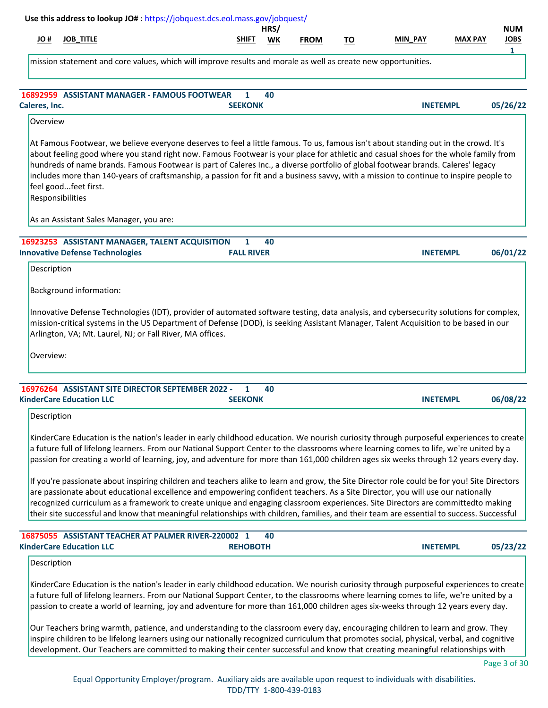| H OL                                                                              | <b>JOB_TITLE</b>                         |                                                                                          |                                                     | SHIFT           | WK | <b>FROM</b> | TO | MIN PAY                                                                                                                                                                                                                                                                                                                                                                                                                                                                                                                                                       | <b>MAX PAY</b>  | <b>NUM</b><br><b>JOBS</b><br>1 |
|-----------------------------------------------------------------------------------|------------------------------------------|------------------------------------------------------------------------------------------|-----------------------------------------------------|-----------------|----|-------------|----|---------------------------------------------------------------------------------------------------------------------------------------------------------------------------------------------------------------------------------------------------------------------------------------------------------------------------------------------------------------------------------------------------------------------------------------------------------------------------------------------------------------------------------------------------------------|-----------------|--------------------------------|
|                                                                                   |                                          |                                                                                          |                                                     |                 |    |             |    | mission statement and core values, which will improve results and morale as well as create new opportunities.                                                                                                                                                                                                                                                                                                                                                                                                                                                 |                 |                                |
| Caleres, Inc.                                                                     |                                          | <b>16892959 ASSISTANT MANAGER - FAMOUS FOOTWEAR</b>                                      | <b>SEEKONK</b>                                      | 1               | 40 |             |    |                                                                                                                                                                                                                                                                                                                                                                                                                                                                                                                                                               | <b>INETEMPL</b> | 05/26/22                       |
| Overview                                                                          |                                          |                                                                                          |                                                     |                 |    |             |    |                                                                                                                                                                                                                                                                                                                                                                                                                                                                                                                                                               |                 |                                |
|                                                                                   | feel goodfeet first.<br>Responsibilities |                                                                                          |                                                     |                 |    |             |    | At Famous Footwear, we believe everyone deserves to feel a little famous. To us, famous isn't about standing out in the crowd. It's<br>about feeling good where you stand right now. Famous Footwear is your place for athletic and casual shoes for the whole family from<br>hundreds of name brands. Famous Footwear is part of Caleres Inc., a diverse portfolio of global footwear brands. Caleres' legacy<br>includes more than 140-years of craftsmanship, a passion for fit and a business savvy, with a mission to continue to inspire people to      |                 |                                |
|                                                                                   |                                          | As an Assistant Sales Manager, you are:                                                  |                                                     |                 |    |             |    |                                                                                                                                                                                                                                                                                                                                                                                                                                                                                                                                                               |                 |                                |
|                                                                                   |                                          | 16923253 ASSISTANT MANAGER, TALENT ACQUISITION<br><b>Innovative Defense Technologies</b> | <b>FALL RIVER</b>                                   | 1               | 40 |             |    |                                                                                                                                                                                                                                                                                                                                                                                                                                                                                                                                                               | <b>INETEMPL</b> | 06/01/22                       |
| Description                                                                       |                                          |                                                                                          |                                                     |                 |    |             |    |                                                                                                                                                                                                                                                                                                                                                                                                                                                                                                                                                               |                 |                                |
|                                                                                   |                                          |                                                                                          |                                                     |                 |    |             |    |                                                                                                                                                                                                                                                                                                                                                                                                                                                                                                                                                               |                 |                                |
|                                                                                   |                                          | Background information:                                                                  |                                                     |                 |    |             |    |                                                                                                                                                                                                                                                                                                                                                                                                                                                                                                                                                               |                 |                                |
|                                                                                   |                                          | Arlington, VA; Mt. Laurel, NJ; or Fall River, MA offices.                                |                                                     |                 |    |             |    | Innovative Defense Technologies (IDT), provider of automated software testing, data analysis, and cybersecurity solutions for complex,<br>mission-critical systems in the US Department of Defense (DOD), is seeking Assistant Manager, Talent Acquisition to be based in our                                                                                                                                                                                                                                                                                 |                 |                                |
| Overview:                                                                         |                                          |                                                                                          |                                                     |                 |    |             |    |                                                                                                                                                                                                                                                                                                                                                                                                                                                                                                                                                               |                 |                                |
|                                                                                   |                                          | 16976264 ASSISTANT SITE DIRECTOR SEPTEMBER 2022 -                                        |                                                     | $\mathbf{1}$    | 40 |             |    |                                                                                                                                                                                                                                                                                                                                                                                                                                                                                                                                                               |                 |                                |
|                                                                                   |                                          |                                                                                          |                                                     | <b>SEEKONK</b>  |    |             |    |                                                                                                                                                                                                                                                                                                                                                                                                                                                                                                                                                               | <b>INETEMPL</b> |                                |
| Description                                                                       |                                          |                                                                                          |                                                     |                 |    |             |    | KinderCare Education is the nation's leader in early childhood education. We nourish curiosity through purposeful experiences to create<br>a future full of lifelong learners. From our National Support Center to the classrooms where learning comes to life, we're united by a<br>passion for creating a world of learning, joy, and adventure for more than 161,000 children ages six weeks through 12 years every day.                                                                                                                                   |                 |                                |
|                                                                                   |                                          |                                                                                          |                                                     |                 |    |             |    | If you're passionate about inspiring children and teachers alike to learn and grow, the Site Director role could be for you! Site Directors<br>are passionate about educational excellence and empowering confident teachers. As a Site Director, you will use our nationally<br>recognized curriculum as a framework to create unique and engaging classroom experiences. Site Directors are committedto making<br>their site successful and know that meaningful relationships with children, families, and their team are essential to success. Successful |                 |                                |
|                                                                                   |                                          |                                                                                          | 16875055 ASSISTANT TEACHER AT PALMER RIVER-220002 1 | <b>REHOBOTH</b> | 40 |             |    |                                                                                                                                                                                                                                                                                                                                                                                                                                                                                                                                                               | <b>INETEMPL</b> | 06/08/22                       |
| <b>KinderCare Education LLC</b><br><b>KinderCare Education LLC</b><br>Description |                                          |                                                                                          |                                                     |                 |    |             |    |                                                                                                                                                                                                                                                                                                                                                                                                                                                                                                                                                               |                 | 05/23/22                       |

inspire children to be lifelong learners using our nationally recognized curriculum that promotes social, physical, verbal, and cognitive development. Our Teachers are committed to making their center successful and know that creating meaningful relationships with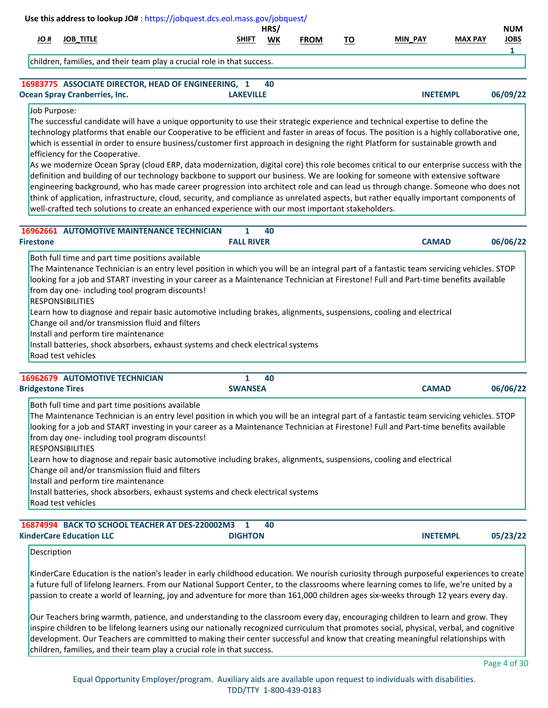|                  | Use this address to lookup JO#: https://jobquest.dcs.eol.mass.gov/jobquest/                                                                                                                                                                                                                                                                                                                                                                                                                                                                                                                                                                                                                      |                   | HRS/ |             |           |                |                 | <b>NUM</b>  |
|------------------|--------------------------------------------------------------------------------------------------------------------------------------------------------------------------------------------------------------------------------------------------------------------------------------------------------------------------------------------------------------------------------------------------------------------------------------------------------------------------------------------------------------------------------------------------------------------------------------------------------------------------------------------------------------------------------------------------|-------------------|------|-------------|-----------|----------------|-----------------|-------------|
| H OL             | <b>JOB_TITLE</b>                                                                                                                                                                                                                                                                                                                                                                                                                                                                                                                                                                                                                                                                                 | <b>SHIFT</b>      | WK   | <b>FROM</b> | <u>TO</u> | <b>MIN PAY</b> | <b>MAX PAY</b>  | <b>JOBS</b> |
|                  | children, families, and their team play a crucial role in that success.                                                                                                                                                                                                                                                                                                                                                                                                                                                                                                                                                                                                                          |                   |      |             |           |                |                 | 1           |
|                  | 16983775 ASSOCIATE DIRECTOR, HEAD OF ENGINEERING, 1                                                                                                                                                                                                                                                                                                                                                                                                                                                                                                                                                                                                                                              |                   | 40   |             |           |                |                 |             |
|                  | <b>Ocean Spray Cranberries, Inc.</b>                                                                                                                                                                                                                                                                                                                                                                                                                                                                                                                                                                                                                                                             | <b>LAKEVILLE</b>  |      |             |           |                | <b>INETEMPL</b> | 06/09/22    |
|                  | which is essential in order to ensure business/customer first approach in designing the right Platform for sustainable growth and                                                                                                                                                                                                                                                                                                                                                                                                                                                                                                                                                                |                   |      |             |           |                |                 |             |
|                  | efficiency for the Cooperative.<br>As we modernize Ocean Spray (cloud ERP, data modernization, digital core) this role becomes critical to our enterprise success with the<br>definition and building of our technology backbone to support our business. We are looking for someone with extensive software<br>engineering background, who has made career progression into architect role and can lead us through change. Someone who does not<br>think of application, infrastructure, cloud, security, and compliance as unrelated aspects, but rather equally important components of<br>well-crafted tech solutions to create an enhanced experience with our most important stakeholders. |                   |      |             |           |                |                 |             |
|                  | <b>16962661 AUTOMOTIVE MAINTENANCE TECHNICIAN</b>                                                                                                                                                                                                                                                                                                                                                                                                                                                                                                                                                                                                                                                | 1                 | 40   |             |           |                |                 |             |
| <b>Firestone</b> |                                                                                                                                                                                                                                                                                                                                                                                                                                                                                                                                                                                                                                                                                                  | <b>FALL RIVER</b> |      |             |           | <b>CAMAD</b>   |                 | 06/06/22    |

| <b>16962679 AUTOMOTIVE TECHNICIAN</b> |  |
|---------------------------------------|--|

| <b>Bridgestone Tires</b>                         | <b>SWANSEA</b>                                                                                                                           | <b>CAMAD</b> | 06/06/22 |
|--------------------------------------------------|------------------------------------------------------------------------------------------------------------------------------------------|--------------|----------|
| Both full time and part time positions available |                                                                                                                                          |              |          |
|                                                  | The Maintenance Technician is an entry level position in which you will be an integral part of a fantastic team servicing vehicles. STOP |              |          |
|                                                  | looking for a job and START investing in your career as a Maintenance Technician at Firestone! Full and Part-time benefits available     |              |          |
| from day one-including tool program discounts!   |                                                                                                                                          |              |          |
| <b>RESPONSIBILITIES</b>                          |                                                                                                                                          |              |          |
|                                                  | Learn how to diagnose and repair basic automotive including brakes, alignments, suspensions, cooling and electrical                      |              |          |
| Change oil and/or transmission fluid and filters |                                                                                                                                          |              |          |
| Install and perform tire maintenance             |                                                                                                                                          |              |          |
|                                                  | Install batteries, shock absorbers, exhaust systems and check electrical systems                                                         |              |          |
| Road test vehicles                               |                                                                                                                                          |              |          |

 **40**

|                                 | 16874994 BACK TO SCHOOL TEACHER AT DES-220002M3 |                | 40 |  |                 |          |
|---------------------------------|-------------------------------------------------|----------------|----|--|-----------------|----------|
| <b>KinderCare Education LLC</b> |                                                 | <b>DIGHTON</b> |    |  | <b>INETEMPL</b> | 05/23/22 |

# Description

KinderCare Education is the nation's leader in early childhood education. We nourish curiosity through purposeful experiences to create a future full of lifelong learners. From our National Support Center, to the classrooms where learning comes to life, we're united by a passion to create a world of learning, joy and adventure for more than 161,000 children ages six-weeks through 12 years every day.

Our Teachers bring warmth, patience, and understanding to the classroom every day, encouraging children to learn and grow. They inspire children to be lifelong learners using our nationally recognized curriculum that promotes social, physical, verbal, and cognitive development. Our Teachers are committed to making their center successful and know that creating meaningful relationships with children, families, and their team play a crucial role in that success.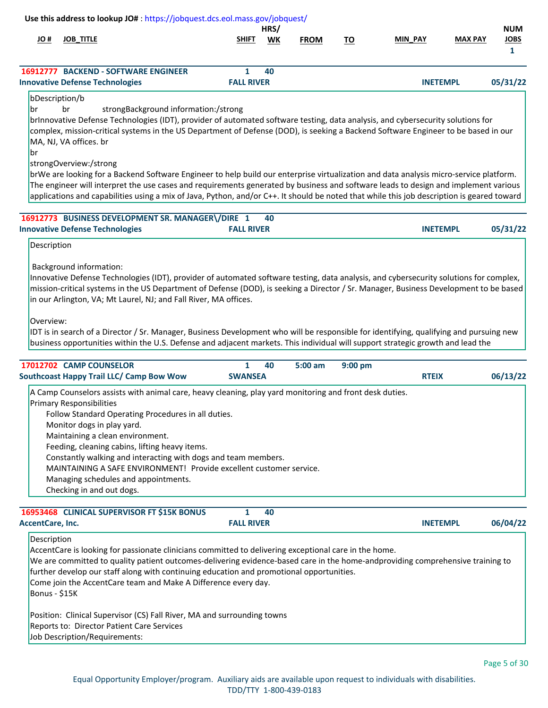|                              |                                                                                            | Use this address to lookup JO#: https://jobquest.dcs.eol.mass.gov/jobquest/                                                                                                                                                                                                                                                                                                                                                                                                                                                                                                                                                                                                                                                                  |                                |            |             |           |                 |                |                                           |
|------------------------------|--------------------------------------------------------------------------------------------|----------------------------------------------------------------------------------------------------------------------------------------------------------------------------------------------------------------------------------------------------------------------------------------------------------------------------------------------------------------------------------------------------------------------------------------------------------------------------------------------------------------------------------------------------------------------------------------------------------------------------------------------------------------------------------------------------------------------------------------------|--------------------------------|------------|-------------|-----------|-----------------|----------------|-------------------------------------------|
| # OL                         | <b>JOB_TITLE</b>                                                                           |                                                                                                                                                                                                                                                                                                                                                                                                                                                                                                                                                                                                                                                                                                                                              | <b>SHIFT</b>                   | HRS/<br>WK | <b>FROM</b> | <u>TO</u> | MIN_PAY         | <b>MAX PAY</b> | <b>NUM</b><br><b>JOBS</b><br>$\mathbf{1}$ |
|                              |                                                                                            | 16912777 BACKEND - SOFTWARE ENGINEER<br><b>Innovative Defense Technologies</b>                                                                                                                                                                                                                                                                                                                                                                                                                                                                                                                                                                                                                                                               | 1<br><b>FALL RIVER</b>         | 40         |             |           | <b>INETEMPL</b> |                | 05/31/22                                  |
| lbr<br> br                   | bDescription/b<br>br<br>MA, NJ, VA offices. br<br>strongOverview:/strong                   | strongBackground information:/strong<br>brInnovative Defense Technologies (IDT), provider of automated software testing, data analysis, and cybersecurity solutions for<br>complex, mission-critical systems in the US Department of Defense (DOD), is seeking a Backend Software Engineer to be based in our<br>brWe are looking for a Backend Software Engineer to help build our enterprise virtualization and data analysis micro-service platform.<br>The engineer will interpret the use cases and requirements generated by business and software leads to design and implement various<br>applications and capabilities using a mix of Java, Python, and/or C++. It should be noted that while this job description is geared toward |                                |            |             |           |                 |                |                                           |
|                              |                                                                                            | 16912773 BUSINESS DEVELOPMENT SR. MANAGER\/DIRE 1<br><b>Innovative Defense Technologies</b>                                                                                                                                                                                                                                                                                                                                                                                                                                                                                                                                                                                                                                                  | <b>FALL RIVER</b>              | 40         |             |           | <b>INETEMPL</b> |                | 05/31/22                                  |
| Overview:                    |                                                                                            | Innovative Defense Technologies (IDT), provider of automated software testing, data analysis, and cybersecurity solutions for complex,<br>mission-critical systems in the US Department of Defense (DOD), is seeking a Director / Sr. Manager, Business Development to be based<br>in our Arlington, VA; Mt Laurel, NJ; and Fall River, MA offices.<br>IDT is in search of a Director / Sr. Manager, Business Development who will be responsible for identifying, qualifying and pursuing new<br>business opportunities within the U.S. Defense and adjacent markets. This individual will support strategic growth and lead the                                                                                                            |                                |            |             |           |                 |                |                                           |
|                              | 17012702 CAMP COUNSELOR                                                                    | <b>Southcoast Happy Trail LLC/ Camp Bow Wow</b>                                                                                                                                                                                                                                                                                                                                                                                                                                                                                                                                                                                                                                                                                              | $\mathbf{1}$<br><b>SWANSEA</b> | 40         | $5:00$ am   | 9:00 pm   | <b>RTEIX</b>    |                | 06/13/22                                  |
|                              | <b>Primary Responsibilities</b><br>Monitor dogs in play yard.<br>Checking in and out dogs. | A Camp Counselors assists with animal care, heavy cleaning, play yard monitoring and front desk duties.<br>Follow Standard Operating Procedures in all duties.<br>Maintaining a clean environment.<br>Feeding, cleaning cabins, lifting heavy items.<br>Constantly walking and interacting with dogs and team members.<br>MAINTAINING A SAFE ENVIRONMENT! Provide excellent customer service.<br>Managing schedules and appointments.                                                                                                                                                                                                                                                                                                        |                                |            |             |           |                 |                |                                           |
|                              |                                                                                            | 16953468 CLINICAL SUPERVISOR FT \$15K BONUS                                                                                                                                                                                                                                                                                                                                                                                                                                                                                                                                                                                                                                                                                                  | 1                              | 40         |             |           |                 |                |                                           |
| <b>AccentCare, Inc.</b>      |                                                                                            |                                                                                                                                                                                                                                                                                                                                                                                                                                                                                                                                                                                                                                                                                                                                              | <b>FALL RIVER</b>              |            |             |           | <b>INETEMPL</b> |                | 06/04/22                                  |
| Description<br>Bonus - \$15K |                                                                                            | AccentCare is looking for passionate clinicians committed to delivering exceptional care in the home.<br>We are committed to quality patient outcomes-delivering evidence-based care in the home-andproviding comprehensive training to<br>further develop our staff along with continuing education and promotional opportunities.<br>Come join the AccentCare team and Make A Difference every day.<br>Position: Clinical Supervisor (CS) Fall River, MA and surrounding towns<br>Reports to: Director Patient Care Services<br>Job Description/Requirements:                                                                                                                                                                              |                                |            |             |           |                 |                |                                           |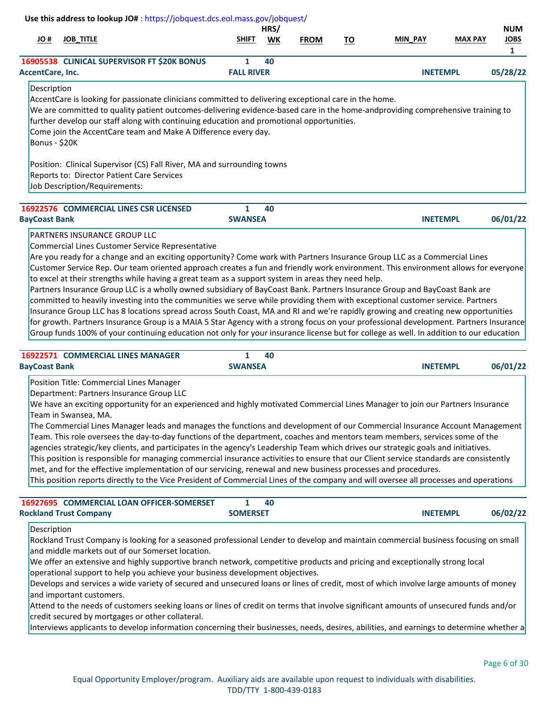| # OL                         |                                                                                                                                                                                                                                                                                                                                                                                                                                                                                                                                                                                                                                                                                                                                                                                                                                                                                                                                                                                                                                                          |                   | HRS/ |             |           |                 |                | <b>NUM</b>                  |
|------------------------------|----------------------------------------------------------------------------------------------------------------------------------------------------------------------------------------------------------------------------------------------------------------------------------------------------------------------------------------------------------------------------------------------------------------------------------------------------------------------------------------------------------------------------------------------------------------------------------------------------------------------------------------------------------------------------------------------------------------------------------------------------------------------------------------------------------------------------------------------------------------------------------------------------------------------------------------------------------------------------------------------------------------------------------------------------------|-------------------|------|-------------|-----------|-----------------|----------------|-----------------------------|
|                              | <b>JOB_TITLE</b>                                                                                                                                                                                                                                                                                                                                                                                                                                                                                                                                                                                                                                                                                                                                                                                                                                                                                                                                                                                                                                         | SHIFT             | WK   | <b>FROM</b> | <u>TO</u> | MIN_PAY         | <b>MAX PAY</b> | <b>JOBS</b><br>$\mathbf{1}$ |
|                              | 16905538 CLINICAL SUPERVISOR FT \$20K BONUS                                                                                                                                                                                                                                                                                                                                                                                                                                                                                                                                                                                                                                                                                                                                                                                                                                                                                                                                                                                                              | 1                 | 40   |             |           |                 |                |                             |
| AccentCare, Inc.             |                                                                                                                                                                                                                                                                                                                                                                                                                                                                                                                                                                                                                                                                                                                                                                                                                                                                                                                                                                                                                                                          | <b>FALL RIVER</b> |      |             |           | <b>INETEMPL</b> |                | 05/28/22                    |
| Description<br>Bonus - \$20K | AccentCare is looking for passionate clinicians committed to delivering exceptional care in the home.<br>We are committed to quality patient outcomes-delivering evidence-based care in the home-andproviding comprehensive training to<br>further develop our staff along with continuing education and promotional opportunities.<br>Come join the AccentCare team and Make A Difference every day.                                                                                                                                                                                                                                                                                                                                                                                                                                                                                                                                                                                                                                                    |                   |      |             |           |                 |                |                             |
|                              | Position: Clinical Supervisor (CS) Fall River, MA and surrounding towns<br>Reports to: Director Patient Care Services<br>Job Description/Requirements:                                                                                                                                                                                                                                                                                                                                                                                                                                                                                                                                                                                                                                                                                                                                                                                                                                                                                                   |                   |      |             |           |                 |                |                             |
|                              | 16922576 COMMERCIAL LINES CSR LICENSED                                                                                                                                                                                                                                                                                                                                                                                                                                                                                                                                                                                                                                                                                                                                                                                                                                                                                                                                                                                                                   | $\mathbf{1}$      | 40   |             |           |                 |                |                             |
| <b>BayCoast Bank</b>         |                                                                                                                                                                                                                                                                                                                                                                                                                                                                                                                                                                                                                                                                                                                                                                                                                                                                                                                                                                                                                                                          | <b>SWANSEA</b>    |      |             |           | <b>INETEMPL</b> |                | 06/01/22                    |
|                              | Partners Insurance Group LLC is a wholly owned subsidiary of BayCoast Bank. Partners Insurance Group and BayCoast Bank are<br>committed to heavily investing into the communities we serve while providing them with exceptional customer service. Partners<br>Insurance Group LLC has 8 locations spread across South Coast, MA and RI and we're rapidly growing and creating new opportunities<br>for growth. Partners Insurance Group is a MAIA 5 Star Agency with a strong focus on your professional development. Partners Insurance                                                                                                                                                                                                                                                                                                                                                                                                                                                                                                                |                   |      |             |           |                 |                |                             |
|                              | Group funds 100% of your continuing education not only for your insurance license but for college as well. In addition to our education<br>16922571 COMMERCIAL LINES MANAGER                                                                                                                                                                                                                                                                                                                                                                                                                                                                                                                                                                                                                                                                                                                                                                                                                                                                             | $\mathbf{1}$      | 40   |             |           |                 |                |                             |
| <b>BayCoast Bank</b>         |                                                                                                                                                                                                                                                                                                                                                                                                                                                                                                                                                                                                                                                                                                                                                                                                                                                                                                                                                                                                                                                          | <b>SWANSEA</b>    |      |             |           | <b>INETEMPL</b> |                | 06/01/22                    |
|                              | Position Title: Commercial Lines Manager<br>Department: Partners Insurance Group LLC<br>We have an exciting opportunity for an experienced and highly motivated Commercial Lines Manager to join our Partners Insurance<br>Team in Swansea, MA.<br>The Commercial Lines Manager leads and manages the functions and development of our Commercial Insurance Account Management<br>Team. This role oversees the day-to-day functions of the department, coaches and mentors team members, services some of the<br>agencies strategic/key clients, and participates in the agency's Leadership Team which drives our strategic goals and initiatives.<br>This position is responsible for managing commercial insurance activities to ensure that our Client service standards are consistently<br>met, and for the effective implementation of our servicing, renewal and new business processes and procedures.<br>This position reports directly to the Vice President of Commercial Lines of the company and will oversee all processes and operations |                   |      |             |           |                 |                |                             |
|                              | 16927695 COMMERCIAL LOAN OFFICER-SOMERSET                                                                                                                                                                                                                                                                                                                                                                                                                                                                                                                                                                                                                                                                                                                                                                                                                                                                                                                                                                                                                | $\mathbf{1}$      | 40   |             |           |                 |                |                             |
| Description                  | <b>Rockland Trust Company</b>                                                                                                                                                                                                                                                                                                                                                                                                                                                                                                                                                                                                                                                                                                                                                                                                                                                                                                                                                                                                                            | <b>SOMERSET</b>   |      |             |           | <b>INETEMPL</b> |                | 06/02/22                    |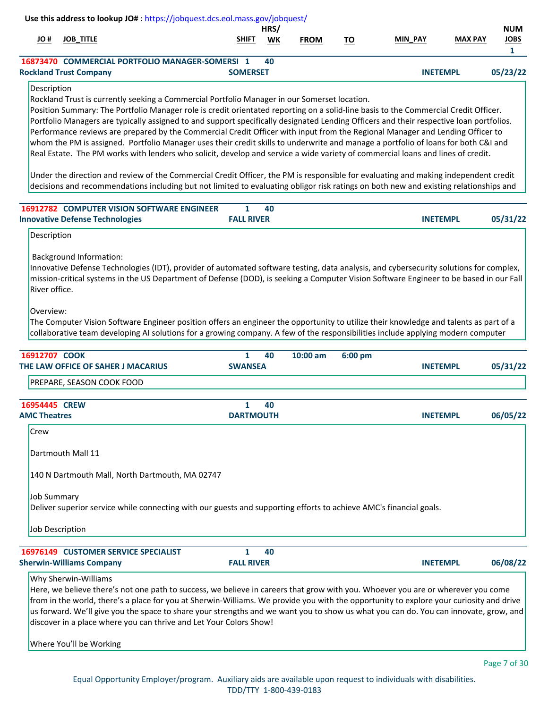|      |                               | Use this address to lookup JO#: https://jobquest.dcs.eol.mass.gov/jobquest/ |                 |      |             |    |                 |                |             |
|------|-------------------------------|-----------------------------------------------------------------------------|-----------------|------|-------------|----|-----------------|----------------|-------------|
|      |                               |                                                                             |                 | HRS/ |             |    |                 |                | <b>NUM</b>  |
| H OL | <b>JOB TITLE</b>              |                                                                             | <b>SHIFT</b>    | WK   | <b>FROM</b> | то | <b>MIN PAY</b>  | <b>MAX PAY</b> | <b>JOBS</b> |
|      |                               |                                                                             |                 |      |             |    |                 |                |             |
|      |                               | 16873470 COMMERCIAL PORTFOLIO MANAGER-SOMERSI 1                             |                 | 40   |             |    |                 |                |             |
|      | <b>Rockland Trust Company</b> |                                                                             | <b>SOMERSET</b> |      |             |    | <b>INETEMPL</b> |                | 05/23/22    |
|      |                               |                                                                             |                 |      |             |    |                 |                |             |

# Description

Rockland Trust is currently seeking a Commercial Portfolio Manager in our Somerset location.

Position Summary: The Portfolio Manager role is credit orientated reporting on a solid-line basis to the Commercial Credit Officer. Portfolio Managers are typically assigned to and support specifically designated Lending Officers and their respective loan portfolios. Performance reviews are prepared by the Commercial Credit Officer with input from the Regional Manager and Lending Officer to whom the PM is assigned. Portfolio Manager uses their credit skills to underwrite and manage a portfolio of loans for both C&I and Real Estate. The PM works with lenders who solicit, develop and service a wide variety of commercial loans and lines of credit.

Under the direction and review of the Commercial Credit Officer, the PM is responsible for evaluating and making independent credit decisions and recommendations including but not limited to evaluating obligor risk ratings on both new and existing relationships and

| 40                |
|-------------------|
| <b>FALL RIVER</b> |

| Description |
|-------------|
|-------------|

Background Information:

Innovative Defense Technologies (IDT), provider of automated software testing, data analysis, and cybersecurity solutions for complex, mission-critical systems in the US Department of Defense (DOD), is seeking a Computer Vision Software Engineer to be based in our Fall River office.

Overview:

The Computer Vision Software Engineer position offers an engineer the opportunity to utilize their knowledge and talents as part of a collaborative team developing AI solutions for a growing company. A few of the responsibilities include applying modern computer

| 16912707 COOK                                                                                                                           | 1<br>40           | $10:00$ am | 6:00 pm |                 |          |
|-----------------------------------------------------------------------------------------------------------------------------------------|-------------------|------------|---------|-----------------|----------|
| THE LAW OFFICE OF SAHER J MACARIUS                                                                                                      | <b>SWANSEA</b>    |            |         | <b>INETEMPL</b> | 05/31/22 |
| PREPARE, SEASON COOK FOOD                                                                                                               |                   |            |         |                 |          |
| 16954445 CREW                                                                                                                           | 40<br>1.          |            |         |                 |          |
| <b>AMC Theatres</b>                                                                                                                     | <b>DARTMOUTH</b>  |            |         | <b>INETEMPL</b> | 06/05/22 |
| Crew                                                                                                                                    |                   |            |         |                 |          |
| Dartmouth Mall 11                                                                                                                       |                   |            |         |                 |          |
| 140 N Dartmouth Mall, North Dartmouth, MA 02747                                                                                         |                   |            |         |                 |          |
| <b>Job Summary</b>                                                                                                                      |                   |            |         |                 |          |
| Deliver superior service while connecting with our guests and supporting efforts to achieve AMC's financial goals.                      |                   |            |         |                 |          |
| Job Description                                                                                                                         |                   |            |         |                 |          |
| <b>16976149 CUSTOMER SERVICE SPECIALIST</b>                                                                                             | 40<br>1.          |            |         |                 |          |
| <b>Sherwin-Williams Company</b>                                                                                                         | <b>FALL RIVER</b> |            |         | <b>INETEMPL</b> | 06/08/22 |
| Why Sherwin-Williams                                                                                                                    |                   |            |         |                 |          |
| Here, we believe there's not one path to success, we believe in careers that grow with you. Whoever you are or wherever you come        |                   |            |         |                 |          |
| from in the world, there's a place for you at Sherwin-Williams. We provide you with the opportunity to explore your curiosity and drive |                   |            |         |                 |          |
| us forward. We'll give you the space to share your strengths and we want you to show us what you can do. You can innovate, grow, and    |                   |            |         |                 |          |

discover in a place where you can thrive and Let Your Colors Show!

Where You'll be Working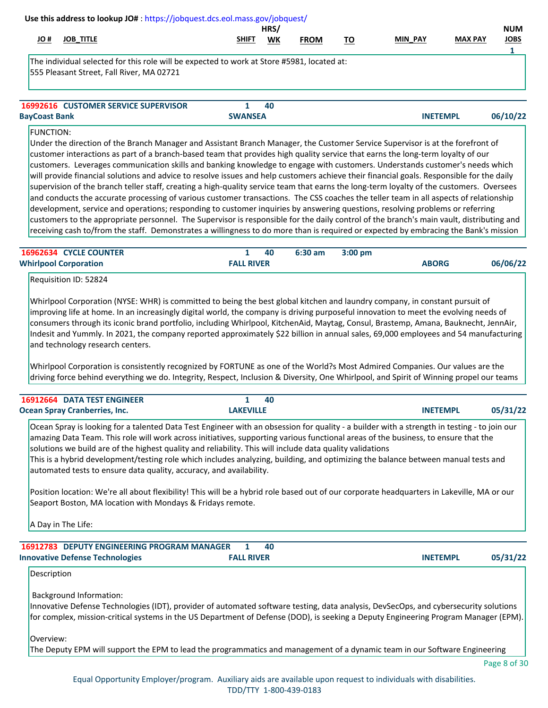| Use this address to lookup JO#: https://jobquest.dcs.eol.mass.gov/jobquest/                                                             |                |      |             |    |                 |                |             |
|-----------------------------------------------------------------------------------------------------------------------------------------|----------------|------|-------------|----|-----------------|----------------|-------------|
|                                                                                                                                         |                | HRS/ |             |    |                 |                | <b>NUM</b>  |
| <b>JOB TITLE</b><br># JO                                                                                                                | <b>SHIFT</b>   | WK   | <b>FROM</b> | TO | <b>MIN PAY</b>  | <b>MAX PAY</b> | <b>JOBS</b> |
|                                                                                                                                         |                |      |             |    |                 |                |             |
| The individual selected for this role will be expected to work at Store #5981, located at:<br>555 Pleasant Street, Fall River, MA 02721 |                |      |             |    |                 |                |             |
| <b>16992616 CUSTOMER SERVICE SUPERVISOR</b>                                                                                             |                | 40   |             |    |                 |                |             |
| <b>BayCoast Bank</b>                                                                                                                    | <b>SWANSEA</b> |      |             |    | <b>INETEMPL</b> |                | 06/10/22    |
|                                                                                                                                         |                |      |             |    |                 |                |             |

## FUNCTION:

Under the direction of the Branch Manager and Assistant Branch Manager, the Customer Service Supervisor is at the forefront of customer interactions as part of a branch-based team that provides high quality service that earns the long-term loyalty of our customers. Leverages communication skills and banking knowledge to engage with customers. Understands customer's needs which will provide financial solutions and advice to resolve issues and help customers achieve their financial goals. Responsible for the daily supervision of the branch teller staff, creating a high-quality service team that earns the long-term loyalty of the customers. Oversees and conducts the accurate processing of various customer transactions. The CSS coaches the teller team in all aspects of relationship development, service and operations; responding to customer inquiries by answering questions, resolving problems or referring customers to the appropriate personnel. The Supervisor is responsible for the daily control of the branch's main vault, distributing and receiving cash to/from the staff. Demonstrates a willingness to do more than is required or expected by embracing the Bank's mission

| <b>16962634 CYCLE COUNTER</b> |                   | 40 | $6:30$ am | $3:00 \text{ pm}$ |              |          |
|-------------------------------|-------------------|----|-----------|-------------------|--------------|----------|
| <b>Whirlpool Corporation</b>  | <b>FALL RIVER</b> |    |           |                   | <b>ABORG</b> | 06/06/22 |

Requisition ID: 52824

Whirlpool Corporation (NYSE: WHR) is committed to being the best global kitchen and laundry company, in constant pursuit of improving life at home. In an increasingly digital world, the company is driving purposeful innovation to meet the evolving needs of consumers through its iconic brand portfolio, including Whirlpool, KitchenAid, Maytag, Consul, Brastemp, Amana, Bauknecht, JennAir, Indesit and Yummly. In 2021, the company reported approximately \$22 billion in annual sales, 69,000 employees and 54 manufacturing and technology research centers.

Whirlpool Corporation is consistently recognized by FORTUNE as one of the World?s Most Admired Companies. Our values are the driving force behind everything we do. Integrity, Respect, Inclusion & Diversity, One Whirlpool, and Spirit of Winning propel our teams

| <b>16912664 DATA TEST ENGINEER</b>   | 40               |                             |
|--------------------------------------|------------------|-----------------------------|
| <b>Ocean Spray Cranberries, Inc.</b> | <b>LAKEVILLE</b> | 05/31/22<br><b>INETEMPL</b> |
|                                      |                  |                             |

Ocean Spray is looking for a talented Data Test Engineer with an obsession for quality - a builder with a strength in testing - to join our amazing Data Team. This role will work across initiatives, supporting various functional areas of the business, to ensure that the solutions we build are of the highest quality and reliability. This will include data quality validations This is a hybrid development/testing role which includes analyzing, building, and optimizing the balance between manual tests and automated tests to ensure data quality, accuracy, and availability.

Position location: We're all about flexibility! This will be a hybrid role based out of our corporate headquarters in Lakeville, MA or our Seaport Boston, MA location with Mondays & Fridays remote.

A Day in The Life:

| 16912783 DEPUTY ENGINEERING PROGRAM MANAGER 1 |                   | 40 |                 |          |
|-----------------------------------------------|-------------------|----|-----------------|----------|
| <b>Innovative Defense Technologies</b>        | <b>FALL RIVER</b> |    | <b>INETEMPL</b> | 05/31/22 |

## Description

Background Information:

Innovative Defense Technologies (IDT), provider of automated software testing, data analysis, DevSecOps, and cybersecurity solutions for complex, mission-critical systems in the US Department of Defense (DOD), is seeking a Deputy Engineering Program Manager (EPM).

Overview:

The Deputy EPM will support the EPM to lead the programmatics and management of a dynamic team in our Software Engineering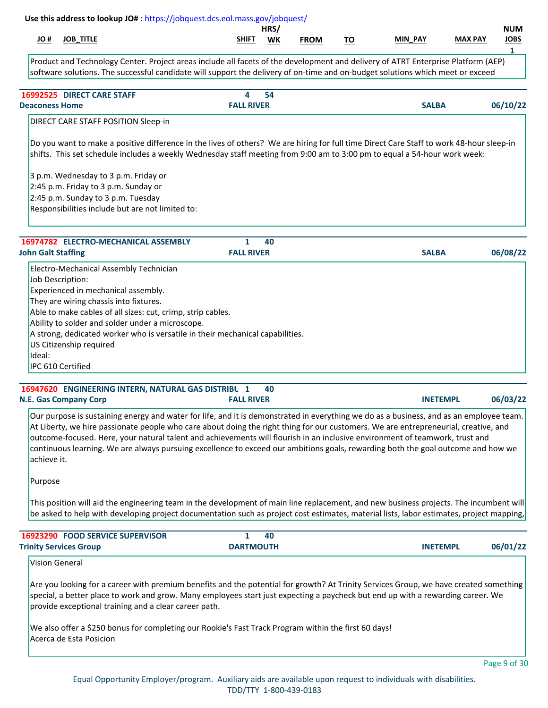|                                                         |                                                                                                                                                                                                                                                                                                     |                                   | HRS/ |             |           |              |                | <b>NUM</b>       |
|---------------------------------------------------------|-----------------------------------------------------------------------------------------------------------------------------------------------------------------------------------------------------------------------------------------------------------------------------------------------------|-----------------------------------|------|-------------|-----------|--------------|----------------|------------------|
| <b>JOB_TITLE</b><br>H OL                                |                                                                                                                                                                                                                                                                                                     | SHIFT                             | WK   | <b>FROM</b> | <u>TO</u> | MIN_PAY      | <b>MAX PAY</b> | <b>JOBS</b><br>1 |
|                                                         | Product and Technology Center. Project areas include all facets of the development and delivery of ATRT Enterprise Platform (AEP)<br>software solutions. The successful candidate will support the delivery of on-time and on-budget solutions which meet or exceed                                 |                                   |      |             |           |              |                |                  |
| 16992525 DIRECT CARE STAFF                              |                                                                                                                                                                                                                                                                                                     | 4                                 | 54   |             |           |              |                |                  |
| <b>Deaconess Home</b>                                   |                                                                                                                                                                                                                                                                                                     | <b>FALL RIVER</b>                 |      |             |           | <b>SALBA</b> |                | 06/10/22         |
|                                                         | DIRECT CARE STAFF POSITION Sleep-in                                                                                                                                                                                                                                                                 |                                   |      |             |           |              |                |                  |
|                                                         | shifts. This set schedule includes a weekly Wednesday staff meeting from 9:00 am to 3:00 pm to equal a 54-hour work week:<br>3 p.m. Wednesday to 3 p.m. Friday or<br>2:45 p.m. Friday to 3 p.m. Sunday or<br>2:45 p.m. Sunday to 3 p.m. Tuesday<br>Responsibilities include but are not limited to: |                                   |      |             |           |              |                |                  |
| <b>John Galt Staffing</b>                               | 16974782 ELECTRO-MECHANICAL ASSEMBLY                                                                                                                                                                                                                                                                | $\mathbf{1}$<br><b>FALL RIVER</b> | 40   |             |           | <b>SALBA</b> |                | 06/08/22         |
|                                                         | Electro-Mechanical Assembly Technician                                                                                                                                                                                                                                                              |                                   |      |             |           |              |                |                  |
| Job Description:<br>Experienced in mechanical assembly. | They are wiring chassis into fixtures.                                                                                                                                                                                                                                                              |                                   |      |             |           |              |                |                  |
|                                                         | Able to make cables of all sizes: cut, crimp, strip cables.<br>Ability to solder and solder under a microscope.                                                                                                                                                                                     |                                   |      |             |           |              |                |                  |
| US Citizenship required<br>Ideal:                       | A strong, dedicated worker who is versatile in their mechanical capabilities.                                                                                                                                                                                                                       |                                   |      |             |           |              |                |                  |

| 16947620 ENGINEERING INTERN, NATURAL GAS DISTRIBU 1 40 |                   |                 |          |
|--------------------------------------------------------|-------------------|-----------------|----------|
| <b>N.E. Gas Company Corp</b>                           | <b>FALL RIVER</b> | <b>INETEMPL</b> | 06/03/22 |

Our purpose is sustaining energy and water for life, and it is demonstrated in everything we do as a business, and as an employee team. At Liberty, we hire passionate people who care about doing the right thing for our customers. We are entrepreneurial, creative, and outcome-focused. Here, your natural talent and achievements will flourish in an inclusive environment of teamwork, trust and continuous learning. We are always pursuing excellence to exceed our ambitions goals, rewarding both the goal outcome and how we achieve it.

Purpose

This position will aid the engineering team in the development of main line replacement, and new business projects. The incumbent will be asked to help with developing project documentation such as project cost estimates, material lists, labor estimates, project mapping,

| <b>16923290 FOOD SERVICE SUPERVISOR</b> |                  | 40 |                 |          |
|-----------------------------------------|------------------|----|-----------------|----------|
| <b>Trinity Services Group</b>           | <b>DARTMOUTH</b> |    | <b>INETEMPL</b> | 06/01/22 |

Vision General

Are you looking for a career with premium benefits and the potential for growth? At Trinity Services Group, we have created something special, a better place to work and grow. Many employees start just expecting a paycheck but end up with a rewarding career. We provide exceptional training and a clear career path.

We also offer a \$250 bonus for completing our Rookie's Fast Track Program within the first 60 days! Acerca de Esta Posicion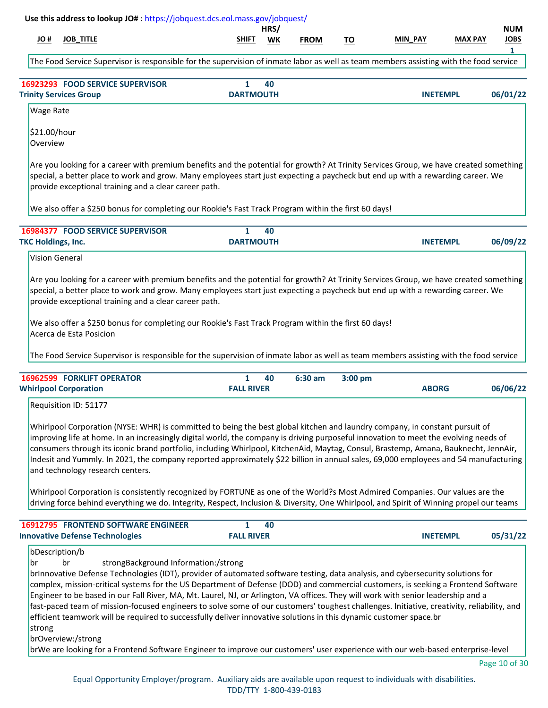|                           |                                                                               | Use this address to lookup JO#: https://jobquest.dcs.eol.mass.gov/jobquest/                                                                                                                                                                                                                                                                                                                                                                                                                                                                                                                                                                                                                                                                                                                                                                              |                                   |            |             |           |                 |                |                                |
|---------------------------|-------------------------------------------------------------------------------|----------------------------------------------------------------------------------------------------------------------------------------------------------------------------------------------------------------------------------------------------------------------------------------------------------------------------------------------------------------------------------------------------------------------------------------------------------------------------------------------------------------------------------------------------------------------------------------------------------------------------------------------------------------------------------------------------------------------------------------------------------------------------------------------------------------------------------------------------------|-----------------------------------|------------|-------------|-----------|-----------------|----------------|--------------------------------|
| # OL                      | <b>JOB_TITLE</b>                                                              |                                                                                                                                                                                                                                                                                                                                                                                                                                                                                                                                                                                                                                                                                                                                                                                                                                                          | SHIFT                             | HRS/<br>WK | <b>FROM</b> | <u>TO</u> | <b>MIN PAY</b>  | <b>MAX PAY</b> | <b>NUM</b><br><b>JOBS</b><br>1 |
|                           |                                                                               | The Food Service Supervisor is responsible for the supervision of inmate labor as well as team members assisting with the food service                                                                                                                                                                                                                                                                                                                                                                                                                                                                                                                                                                                                                                                                                                                   |                                   |            |             |           |                 |                |                                |
|                           | 16923293 FOOD SERVICE SUPERVISOR<br><b>Trinity Services Group</b>             |                                                                                                                                                                                                                                                                                                                                                                                                                                                                                                                                                                                                                                                                                                                                                                                                                                                          | 1<br><b>DARTMOUTH</b>             | 40         |             |           | <b>INETEMPL</b> |                | 06/01/22                       |
| Wage Rate                 |                                                                               |                                                                                                                                                                                                                                                                                                                                                                                                                                                                                                                                                                                                                                                                                                                                                                                                                                                          |                                   |            |             |           |                 |                |                                |
| \$21.00/hour<br>Overview  |                                                                               |                                                                                                                                                                                                                                                                                                                                                                                                                                                                                                                                                                                                                                                                                                                                                                                                                                                          |                                   |            |             |           |                 |                |                                |
|                           |                                                                               | Are you looking for a career with premium benefits and the potential for growth? At Trinity Services Group, we have created something<br>special, a better place to work and grow. Many employees start just expecting a paycheck but end up with a rewarding career. We<br>provide exceptional training and a clear career path.                                                                                                                                                                                                                                                                                                                                                                                                                                                                                                                        |                                   |            |             |           |                 |                |                                |
|                           |                                                                               | We also offer a \$250 bonus for completing our Rookie's Fast Track Program within the first 60 days!                                                                                                                                                                                                                                                                                                                                                                                                                                                                                                                                                                                                                                                                                                                                                     |                                   |            |             |           |                 |                |                                |
|                           | 16984377 FOOD SERVICE SUPERVISOR                                              |                                                                                                                                                                                                                                                                                                                                                                                                                                                                                                                                                                                                                                                                                                                                                                                                                                                          | $\mathbf{1}$                      | 40         |             |           |                 |                |                                |
| <b>TKC Holdings, Inc.</b> | <b>Vision General</b>                                                         |                                                                                                                                                                                                                                                                                                                                                                                                                                                                                                                                                                                                                                                                                                                                                                                                                                                          | <b>DARTMOUTH</b>                  |            |             |           | <b>INETEMPL</b> |                | 06/09/22                       |
|                           | Acerca de Esta Posicion                                                       | We also offer a \$250 bonus for completing our Rookie's Fast Track Program within the first 60 days!<br>The Food Service Supervisor is responsible for the supervision of inmate labor as well as team members assisting with the food service                                                                                                                                                                                                                                                                                                                                                                                                                                                                                                                                                                                                           |                                   |            |             |           |                 |                |                                |
|                           |                                                                               |                                                                                                                                                                                                                                                                                                                                                                                                                                                                                                                                                                                                                                                                                                                                                                                                                                                          |                                   |            |             |           |                 |                |                                |
|                           | 16962599 FORKLIFT OPERATOR<br><b>Whirlpool Corporation</b>                    |                                                                                                                                                                                                                                                                                                                                                                                                                                                                                                                                                                                                                                                                                                                                                                                                                                                          | 1<br><b>FALL RIVER</b>            | 40         | 6:30 am     | 3:00 pm   | <b>ABORG</b>    |                | 06/06/22                       |
|                           | Requisition ID: 51177                                                         |                                                                                                                                                                                                                                                                                                                                                                                                                                                                                                                                                                                                                                                                                                                                                                                                                                                          |                                   |            |             |           |                 |                |                                |
|                           | and technology research centers.                                              | Whirlpool Corporation (NYSE: WHR) is committed to being the best global kitchen and laundry company, in constant pursuit of<br>improving life at home. In an increasingly digital world, the company is driving purposeful innovation to meet the evolving needs of<br>consumers through its iconic brand portfolio, including Whirlpool, KitchenAid, Maytag, Consul, Brastemp, Amana, Bauknecht, JennAir,<br>Indesit and Yummly. In 2021, the company reported approximately \$22 billion in annual sales, 69,000 employees and 54 manufacturing                                                                                                                                                                                                                                                                                                        |                                   |            |             |           |                 |                |                                |
|                           |                                                                               | Whirlpool Corporation is consistently recognized by FORTUNE as one of the World?s Most Admired Companies. Our values are the<br>driving force behind everything we do. Integrity, Respect, Inclusion & Diversity, One Whirlpool, and Spirit of Winning propel our teams                                                                                                                                                                                                                                                                                                                                                                                                                                                                                                                                                                                  |                                   |            |             |           |                 |                |                                |
|                           | 16912795 FRONTEND SOFTWARE ENGINEER<br><b>Innovative Defense Technologies</b> |                                                                                                                                                                                                                                                                                                                                                                                                                                                                                                                                                                                                                                                                                                                                                                                                                                                          | $\mathbf{1}$<br><b>FALL RIVER</b> | 40         |             |           | <b>INETEMPL</b> |                | 05/31/22                       |
| lbr<br>strong             | bDescription/b<br>br<br>brOverview:/strong                                    | strongBackground Information:/strong<br>brInnovative Defense Technologies (IDT), provider of automated software testing, data analysis, and cybersecurity solutions for<br>complex, mission-critical systems for the US Department of Defense (DOD) and commercial customers, is seeking a Frontend Software<br>Engineer to be based in our Fall River, MA, Mt. Laurel, NJ, or Arlington, VA offices. They will work with senior leadership and a<br>fast-paced team of mission-focused engineers to solve some of our customers' toughest challenges. Initiative, creativity, reliability, and<br>efficient teamwork will be required to successfully deliver innovative solutions in this dynamic customer space.br<br>brWe are looking for a Frontend Software Engineer to improve our customers' user experience with our web-based enterprise-level |                                   |            |             |           |                 |                |                                |
|                           |                                                                               |                                                                                                                                                                                                                                                                                                                                                                                                                                                                                                                                                                                                                                                                                                                                                                                                                                                          |                                   |            |             |           |                 |                | Page 10 of 30                  |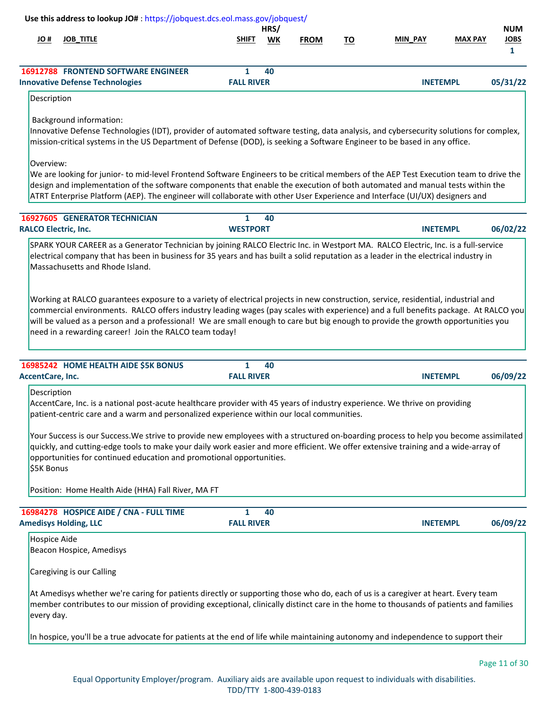|                             | Use this address to lookup JO#: https://jobquest.dcs.eol.mass.gov/jobquest/                                                                                                                                                                                                                                                                                                                                                                                              |                                   |            |             |           |                 |                |                                           |
|-----------------------------|--------------------------------------------------------------------------------------------------------------------------------------------------------------------------------------------------------------------------------------------------------------------------------------------------------------------------------------------------------------------------------------------------------------------------------------------------------------------------|-----------------------------------|------------|-------------|-----------|-----------------|----------------|-------------------------------------------|
| # OL                        | <b>JOB_TITLE</b>                                                                                                                                                                                                                                                                                                                                                                                                                                                         | <b>SHIFT</b>                      | HRS/<br>WK | <b>FROM</b> | <u>TO</u> | MIN_PAY         | <b>MAX PAY</b> | <b>NUM</b><br><b>JOBS</b><br>$\mathbf{1}$ |
|                             | <b>16912788 FRONTEND SOFTWARE ENGINEER</b><br><b>Innovative Defense Technologies</b>                                                                                                                                                                                                                                                                                                                                                                                     | $\mathbf{1}$<br><b>FALL RIVER</b> | 40         |             |           | <b>INETEMPL</b> |                | 05/31/22                                  |
| Description                 |                                                                                                                                                                                                                                                                                                                                                                                                                                                                          |                                   |            |             |           |                 |                |                                           |
|                             | <b>Background information:</b><br>Innovative Defense Technologies (IDT), provider of automated software testing, data analysis, and cybersecurity solutions for complex,<br>mission-critical systems in the US Department of Defense (DOD), is seeking a Software Engineer to be based in any office.                                                                                                                                                                    |                                   |            |             |           |                 |                |                                           |
| Overview:                   | We are looking for junior- to mid-level Frontend Software Engineers to be critical members of the AEP Test Execution team to drive the<br>design and implementation of the software components that enable the execution of both automated and manual tests within the<br>ATRT Enterprise Platform (AEP). The engineer will collaborate with other User Experience and Interface (UI/UX) designers and                                                                   |                                   |            |             |           |                 |                |                                           |
| <b>RALCO Electric, Inc.</b> | <b>16927605 GENERATOR TECHNICIAN</b>                                                                                                                                                                                                                                                                                                                                                                                                                                     | $\mathbf{1}$<br><b>WESTPORT</b>   | 40         |             |           | <b>INETEMPL</b> |                | 06/02/22                                  |
|                             | SPARK YOUR CAREER as a Generator Technician by joining RALCO Electric Inc. in Westport MA. RALCO Electric, Inc. is a full-service<br>electrical company that has been in business for 35 years and has built a solid reputation as a leader in the electrical industry in<br>Massachusetts and Rhode Island.                                                                                                                                                             |                                   |            |             |           |                 |                |                                           |
|                             | Working at RALCO guarantees exposure to a variety of electrical projects in new construction, service, residential, industrial and<br>commercial environments. RALCO offers industry leading wages (pay scales with experience) and a full benefits package. At RALCO you<br>will be valued as a person and a professional! We are small enough to care but big enough to provide the growth opportunities you<br>need in a rewarding career! Join the RALCO team today! |                                   |            |             |           |                 |                |                                           |
| AccentCare, Inc.            | 16985242 HOME HEALTH AIDE \$5K BONUS                                                                                                                                                                                                                                                                                                                                                                                                                                     | $\mathbf{1}$<br><b>FALL RIVER</b> | 40         |             |           | <b>INETEMPL</b> |                | 06/09/22                                  |
| Description                 | AccentCare, Inc. is a national post-acute healthcare provider with 45 years of industry experience. We thrive on providing<br>patient-centric care and a warm and personalized experience within our local communities.                                                                                                                                                                                                                                                  |                                   |            |             |           |                 |                |                                           |
| \$5K Bonus                  | Your Success is our Success. We strive to provide new employees with a structured on-boarding process to help you become assimilated<br>quickly, and cutting-edge tools to make your daily work easier and more efficient. We offer extensive training and a wide-array of<br>opportunities for continued education and promotional opportunities.                                                                                                                       |                                   |            |             |           |                 |                |                                           |
|                             | Position: Home Health Aide (HHA) Fall River, MA FT                                                                                                                                                                                                                                                                                                                                                                                                                       |                                   |            |             |           |                 |                |                                           |
|                             | 16984278 HOSPICE AIDE / CNA - FULL TIME<br><b>Amedisys Holding, LLC</b>                                                                                                                                                                                                                                                                                                                                                                                                  | $\mathbf{1}$<br><b>FALL RIVER</b> | 40         |             |           | <b>INETEMPL</b> |                | 06/09/22                                  |
| <b>Hospice Aide</b>         | Beacon Hospice, Amedisys                                                                                                                                                                                                                                                                                                                                                                                                                                                 |                                   |            |             |           |                 |                |                                           |
|                             | Caregiving is our Calling                                                                                                                                                                                                                                                                                                                                                                                                                                                |                                   |            |             |           |                 |                |                                           |
| every day.                  | At Amedisys whether we're caring for patients directly or supporting those who do, each of us is a caregiver at heart. Every team<br>member contributes to our mission of providing exceptional, clinically distinct care in the home to thousands of patients and families                                                                                                                                                                                              |                                   |            |             |           |                 |                |                                           |
|                             | In hospice, you'll be a true advocate for patients at the end of life while maintaining autonomy and independence to support their                                                                                                                                                                                                                                                                                                                                       |                                   |            |             |           |                 |                |                                           |
|                             |                                                                                                                                                                                                                                                                                                                                                                                                                                                                          |                                   |            |             |           |                 |                | Page 11 of 30                             |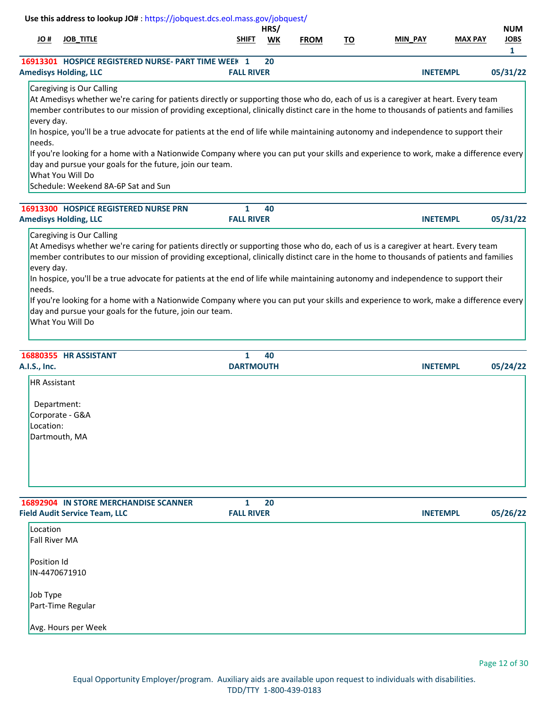| Use this address to lookup JO#: https://jobquest.dcs.eol.mass.gov/jobquest/                                                                                                                                                                                                                                                                                                                                                                                                                                                                                                                                                                                                                                                           |                   | HRS/      |             |           |                 |                | <b>NUM</b>                  |
|---------------------------------------------------------------------------------------------------------------------------------------------------------------------------------------------------------------------------------------------------------------------------------------------------------------------------------------------------------------------------------------------------------------------------------------------------------------------------------------------------------------------------------------------------------------------------------------------------------------------------------------------------------------------------------------------------------------------------------------|-------------------|-----------|-------------|-----------|-----------------|----------------|-----------------------------|
| # JO<br><b>JOB_TITLE</b>                                                                                                                                                                                                                                                                                                                                                                                                                                                                                                                                                                                                                                                                                                              | <b>SHIFT</b>      | <b>WK</b> | <b>FROM</b> | <u>TO</u> | <b>MIN PAY</b>  | <b>MAX PAY</b> | <b>JOBS</b><br>$\mathbf{1}$ |
| 16913301 HOSPICE REGISTERED NURSE- PART TIME WEEK 1                                                                                                                                                                                                                                                                                                                                                                                                                                                                                                                                                                                                                                                                                   |                   | 20        |             |           |                 |                |                             |
| <b>Amedisys Holding, LLC</b>                                                                                                                                                                                                                                                                                                                                                                                                                                                                                                                                                                                                                                                                                                          | <b>FALL RIVER</b> |           |             |           | <b>INETEMPL</b> |                | 05/31/22                    |
| Caregiving is Our Calling<br>At Amedisys whether we're caring for patients directly or supporting those who do, each of us is a caregiver at heart. Every team<br>member contributes to our mission of providing exceptional, clinically distinct care in the home to thousands of patients and families<br>every day.<br>In hospice, you'll be a true advocate for patients at the end of life while maintaining autonomy and independence to support their<br>needs.<br>If you're looking for a home with a Nationwide Company where you can put your skills and experience to work, make a difference every<br>day and pursue your goals for the future, join our team.<br>What You Will Do<br>Schedule: Weekend 8A-6P Sat and Sun |                   |           |             |           |                 |                |                             |
| 16913300 HOSPICE REGISTERED NURSE PRN                                                                                                                                                                                                                                                                                                                                                                                                                                                                                                                                                                                                                                                                                                 | 1                 | 40        |             |           |                 |                |                             |
| <b>Amedisys Holding, LLC</b>                                                                                                                                                                                                                                                                                                                                                                                                                                                                                                                                                                                                                                                                                                          | <b>FALL RIVER</b> |           |             |           | <b>INETEMPL</b> |                | 05/31/22                    |
| Caregiving is Our Calling<br>At Amedisys whether we're caring for patients directly or supporting those who do, each of us is a caregiver at heart. Every team<br>member contributes to our mission of providing exceptional, clinically distinct care in the home to thousands of patients and families<br>every day.<br>In hospice, you'll be a true advocate for patients at the end of life while maintaining autonomy and independence to support their<br>needs.<br>If you're looking for a home with a Nationwide Company where you can put your skills and experience to work, make a difference every<br>day and pursue your goals for the future, join our team.<br>What You Will Do                                        |                   |           |             |           |                 |                |                             |
|                                                                                                                                                                                                                                                                                                                                                                                                                                                                                                                                                                                                                                                                                                                                       |                   |           |             |           |                 |                |                             |

| <b>HR</b> Assistant |  |
|---------------------|--|
| Department:         |  |
| Corporate - G&A     |  |
| Location:           |  |
| Dartmouth, MA       |  |
|                     |  |
|                     |  |
|                     |  |
|                     |  |

| <b>16892904 IN STORE MERCHANDISE SCANNER</b><br><b>Field Audit Service Team, LLC</b> | 20<br>1<br><b>FALL RIVER</b> | <b>INETEMPL</b> | 05/26/22 |
|--------------------------------------------------------------------------------------|------------------------------|-----------------|----------|
| Location<br><b>Fall River MA</b>                                                     |                              |                 |          |
| <b>Position Id</b><br>IN-4470671910                                                  |                              |                 |          |
| Job Type<br>Part-Time Regular                                                        |                              |                 |          |
| Avg. Hours per Week                                                                  |                              |                 |          |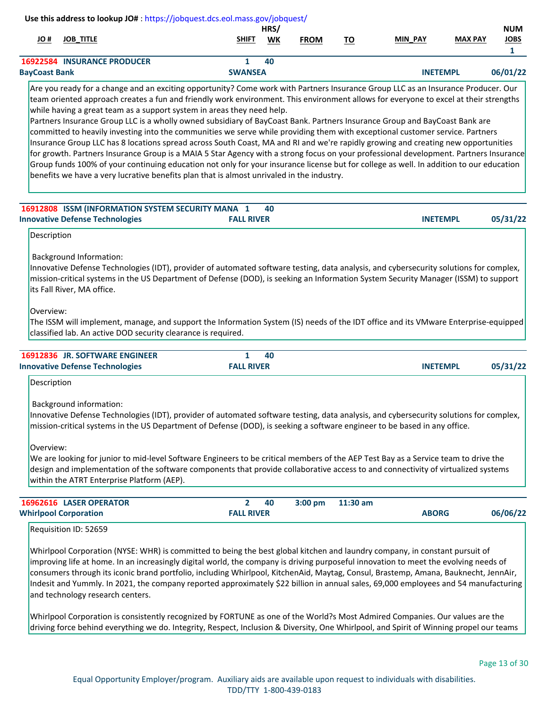| # OL                 | <b>JOB TITLE</b>                   | <b>SHIFT</b>   | HRS/<br>WK | <b>FROM</b> | то | <b>MIN PAY</b>  | <b>MAX PAY</b> | <b>NUM</b><br>JOBS |
|----------------------|------------------------------------|----------------|------------|-------------|----|-----------------|----------------|--------------------|
|                      | <b>16922584 INSURANCE PRODUCER</b> |                | 40         |             |    |                 |                |                    |
| <b>BayCoast Bank</b> |                                    | <b>SWANSEA</b> |            |             |    | <b>INETEMPL</b> |                | 06/01/22           |

Are you ready for a change and an exciting opportunity? Come work with Partners Insurance Group LLC as an Insurance Producer. Our team oriented approach creates a fun and friendly work environment. This environment allows for everyone to excel at their strengths while having a great team as a support system in areas they need help.

Partners Insurance Group LLC is a wholly owned subsidiary of BayCoast Bank. Partners Insurance Group and BayCoast Bank are committed to heavily investing into the communities we serve while providing them with exceptional customer service. Partners Insurance Group LLC has 8 locations spread across South Coast, MA and RI and we're rapidly growing and creating new opportunities for growth. Partners Insurance Group is a MAIA 5 Star Agency with a strong focus on your professional development. Partners Insurance Group funds 100% of your continuing education not only for your insurance license but for college as well. In addition to our education benefits we have a very lucrative benefits plan that is almost unrivaled in the industry.

| <b>16912808 ISSM (INFORMATION SYSTEM SECURITY MANA 1</b> |                   | - 40 |                 |          |
|----------------------------------------------------------|-------------------|------|-----------------|----------|
| <b>Innovative Defense Technologies</b>                   | <b>FALL RIVER</b> |      | <b>INETEMPL</b> | 05/31/22 |

Description

Background Information:

Innovative Defense Technologies (IDT), provider of automated software testing, data analysis, and cybersecurity solutions for complex, mission-critical systems in the US Department of Defense (DOD), is seeking an Information System Security Manager (ISSM) to support its Fall River, MA office.

Overview:

The ISSM will implement, manage, and support the Information System (IS) needs of the IDT office and its VMware Enterprise-equipped classified lab. An active DOD security clearance is required.

| <b>16912836 JR. SOFTWARE ENGINEER</b>  |                   | 40 |                 |          |
|----------------------------------------|-------------------|----|-----------------|----------|
| <b>Innovative Defense Technologies</b> | <b>FALL RIVER</b> |    | <b>INETEMPL</b> | 05/31/22 |

Description

Background information:

Innovative Defense Technologies (IDT), provider of automated software testing, data analysis, and cybersecurity solutions for complex, mission-critical systems in the US Department of Defense (DOD), is seeking a software engineer to be based in any office.

Overview:

We are looking for junior to mid-level Software Engineers to be critical members of the AEP Test Bay as a Service team to drive the design and implementation of the software components that provide collaborative access to and connectivity of virtualized systems within the ATRT Enterprise Platform (AEP).

| <b>16962616 LASER OPERATOR</b> |                   | 40 | $3:00$ pm | $11:30$ am |              |          |
|--------------------------------|-------------------|----|-----------|------------|--------------|----------|
| <b>Whirlpool Corporation</b>   | <b>FALL RIVER</b> |    |           |            | <b>ABORG</b> | 06/06/22 |
|                                |                   |    |           |            |              |          |

Requisition ID: 52659

Whirlpool Corporation (NYSE: WHR) is committed to being the best global kitchen and laundry company, in constant pursuit of improving life at home. In an increasingly digital world, the company is driving purposeful innovation to meet the evolving needs of consumers through its iconic brand portfolio, including Whirlpool, KitchenAid, Maytag, Consul, Brastemp, Amana, Bauknecht, JennAir, Indesit and Yummly. In 2021, the company reported approximately \$22 billion in annual sales, 69,000 employees and 54 manufacturing and technology research centers.

Whirlpool Corporation is consistently recognized by FORTUNE as one of the World?s Most Admired Companies. Our values are the driving force behind everything we do. Integrity, Respect, Inclusion & Diversity, One Whirlpool, and Spirit of Winning propel our teams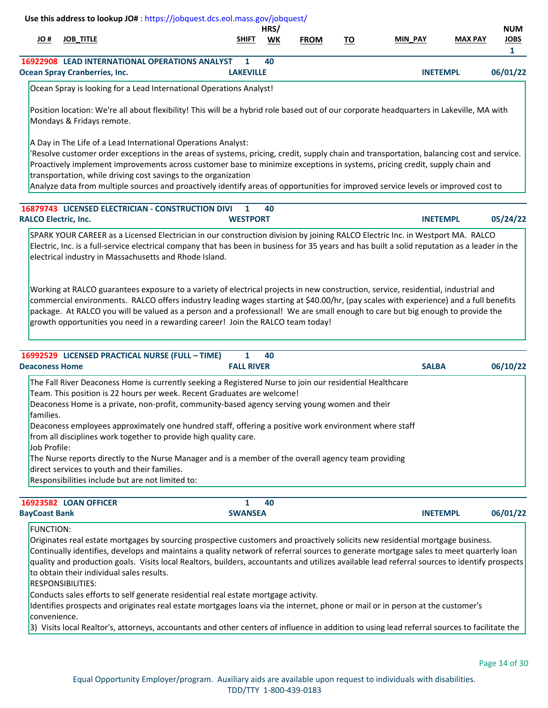| H OL                        | Use this address to lookup JO#: https://jobquest.dcs.eol.mass.gov/jobquest/<br><b>JOB_TITLE</b>                                                                                                                                                                                                                                                                                                                                                                                                                                                                                                                                                                               | <b>SHIFT</b>                      | HRS/<br><b>WK</b> | <b>FROM</b> | <u>TO</u> | MIN PAY         | <b>MAX PAY</b> | <b>NUM</b><br><b>JOBS</b><br>$\mathbf{1}$ |
|-----------------------------|-------------------------------------------------------------------------------------------------------------------------------------------------------------------------------------------------------------------------------------------------------------------------------------------------------------------------------------------------------------------------------------------------------------------------------------------------------------------------------------------------------------------------------------------------------------------------------------------------------------------------------------------------------------------------------|-----------------------------------|-------------------|-------------|-----------|-----------------|----------------|-------------------------------------------|
|                             | 16922908 LEAD INTERNATIONAL OPERATIONS ANALYST<br><b>Ocean Spray Cranberries, Inc.</b>                                                                                                                                                                                                                                                                                                                                                                                                                                                                                                                                                                                        | $\mathbf{1}$<br><b>LAKEVILLE</b>  | 40                |             |           | <b>INETEMPL</b> |                | 06/01/22                                  |
|                             | Ocean Spray is looking for a Lead International Operations Analyst!                                                                                                                                                                                                                                                                                                                                                                                                                                                                                                                                                                                                           |                                   |                   |             |           |                 |                |                                           |
|                             | Position location: We're all about flexibility! This will be a hybrid role based out of our corporate headquarters in Lakeville, MA with<br>Mondays & Fridays remote.                                                                                                                                                                                                                                                                                                                                                                                                                                                                                                         |                                   |                   |             |           |                 |                |                                           |
|                             | A Day in The Life of a Lead International Operations Analyst:<br>'Resolve customer order exceptions in the areas of systems, pricing, credit, supply chain and transportation, balancing cost and service.<br>Proactively implement improvements across customer base to minimize exceptions in systems, pricing credit, supply chain and<br>transportation, while driving cost savings to the organization<br>Analyze data from multiple sources and proactively identify areas of opportunities for improved service levels or improved cost to                                                                                                                             |                                   |                   |             |           |                 |                |                                           |
| <b>RALCO Electric, Inc.</b> | 16879743 LICENSED ELECTRICIAN - CONSTRUCTION DIVI                                                                                                                                                                                                                                                                                                                                                                                                                                                                                                                                                                                                                             | 1<br><b>WESTPORT</b>              | 40                |             |           | <b>INETEMPL</b> |                | 05/24/22                                  |
|                             | SPARK YOUR CAREER as a Licensed Electrician in our construction division by joining RALCO Electric Inc. in Westport MA. RALCO<br>Electric, Inc. is a full-service electrical company that has been in business for 35 years and has built a solid reputation as a leader in the<br>electrical industry in Massachusetts and Rhode Island.                                                                                                                                                                                                                                                                                                                                     |                                   |                   |             |           |                 |                |                                           |
|                             | Working at RALCO guarantees exposure to a variety of electrical projects in new construction, service, residential, industrial and<br>commercial environments. RALCO offers industry leading wages starting at \$40.00/hr, (pay scales with experience) and a full benefits<br>package. At RALCO you will be valued as a person and a professional! We are small enough to care but big enough to provide the<br>growth opportunities you need in a rewarding career! Join the RALCO team today!                                                                                                                                                                              |                                   |                   |             |           |                 |                |                                           |
| <b>Deaconess Home</b>       | 16992529 LICENSED PRACTICAL NURSE (FULL - TIME)                                                                                                                                                                                                                                                                                                                                                                                                                                                                                                                                                                                                                               | $\mathbf{1}$<br><b>FALL RIVER</b> | 40                |             |           | <b>SALBA</b>    |                | 06/10/22                                  |
| families.<br>Job Profile:   | The Fall River Deaconess Home is currently seeking a Registered Nurse to join our residential Healthcare<br>Team. This position is 22 hours per week. Recent Graduates are welcome!<br>Deaconess Home is a private, non-profit, community-based agency serving young women and their<br>Deaconess employees approximately one hundred staff, offering a positive work environment where staff<br>from all disciplines work together to provide high quality care.<br>The Nurse reports directly to the Nurse Manager and is a member of the overall agency team providing<br>direct services to youth and their families.<br>Responsibilities include but are not limited to: |                                   |                   |             |           |                 |                |                                           |

| 16923582 LOAN OFFICER |                | 40 |                 |          |
|-----------------------|----------------|----|-----------------|----------|
| <b>BayCoast Bank</b>  | <b>SWANSEA</b> |    | <b>INETEMPL</b> | 06/01/22 |

FUNCTION:

Originates real estate mortgages by sourcing prospective customers and proactively solicits new residential mortgage business.

Continually identifies, develops and maintains a quality network of referral sources to generate mortgage sales to meet quarterly loan quality and production goals. Visits local Realtors, builders, accountants and utilizes available lead referral sources to identify prospects to obtain their individual sales results.

RESPONSIBILITIES:

Conducts sales efforts to self generate residential real estate mortgage activity.

Identifies prospects and originates real estate mortgages loans via the internet, phone or mail or in person at the customer's convenience.

3) Visits local Realtor's, attorneys, accountants and other centers of influence in addition to using lead referral sources to facilitate the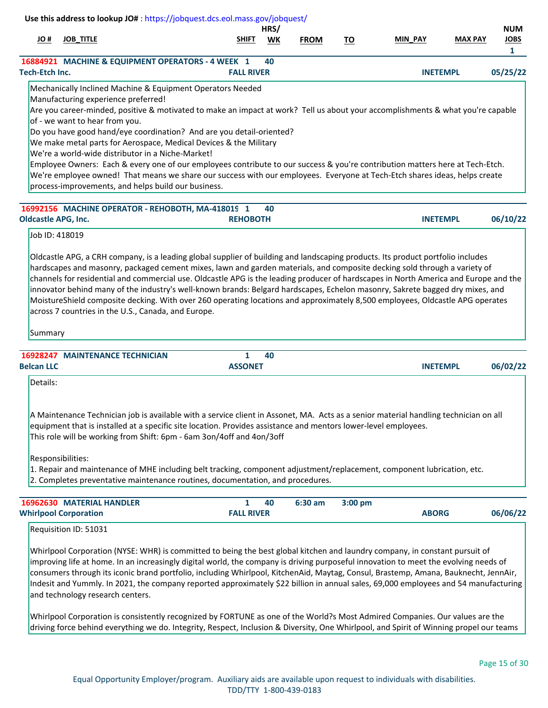| # OL                       | <b>JOB_TITLE</b>                                                                                                                                                                                                                                                                                                                                                                                                                                                                                                                                                                                                                                                                                                                                                                               | SHIFT<br><b>WK</b> | <b>FROM</b> | TO      | <b>MIN PAY</b>  | <b>MAX PAY</b> | <b>NUM</b><br><b>JOBS</b> |
|----------------------------|------------------------------------------------------------------------------------------------------------------------------------------------------------------------------------------------------------------------------------------------------------------------------------------------------------------------------------------------------------------------------------------------------------------------------------------------------------------------------------------------------------------------------------------------------------------------------------------------------------------------------------------------------------------------------------------------------------------------------------------------------------------------------------------------|--------------------|-------------|---------|-----------------|----------------|---------------------------|
|                            | 16884921 MACHINE & EQUIPMENT OPERATORS - 4 WEEK 1                                                                                                                                                                                                                                                                                                                                                                                                                                                                                                                                                                                                                                                                                                                                              | 40                 |             |         |                 |                | 1                         |
| <b>Tech-Etch Inc.</b>      |                                                                                                                                                                                                                                                                                                                                                                                                                                                                                                                                                                                                                                                                                                                                                                                                | <b>FALL RIVER</b>  |             |         | <b>INETEMPL</b> |                | 05/25/22                  |
|                            | Mechanically Inclined Machine & Equipment Operators Needed<br>Manufacturing experience preferred!<br>Are you career-minded, positive & motivated to make an impact at work? Tell us about your accomplishments & what you're capable<br>of - we want to hear from you.<br>Do you have good hand/eye coordination? And are you detail-oriented?<br>We make metal parts for Aerospace, Medical Devices & the Military<br>We're a world-wide distributor in a Niche-Market!<br>Employee Owners: Each & every one of our employees contribute to our success & you're contribution matters here at Tech-Etch.<br>We're employee owned! That means we share our success with our employees. Everyone at Tech-Etch shares ideas, helps create<br>process-improvements, and helps build our business. |                    |             |         |                 |                |                           |
|                            | 16992156 MACHINE OPERATOR - REHOBOTH, MA-418019 1                                                                                                                                                                                                                                                                                                                                                                                                                                                                                                                                                                                                                                                                                                                                              | 40                 |             |         |                 |                |                           |
| <b>Oldcastle APG, Inc.</b> |                                                                                                                                                                                                                                                                                                                                                                                                                                                                                                                                                                                                                                                                                                                                                                                                | <b>REHOBOTH</b>    |             |         | <b>INETEMPL</b> |                | 06/10/22                  |
| Job ID: 418019             | Oldcastle APG, a CRH company, is a leading global supplier of building and landscaping products. Its product portfolio includes<br>hardscapes and masonry, packaged cement mixes, lawn and garden materials, and composite decking sold through a variety of<br>channels for residential and commercial use. Oldcastle APG is the leading producer of hardscapes in North America and Europe and the<br>innovator behind many of the industry's well-known brands: Belgard hardscapes, Echelon masonry, Sakrete bagged dry mixes, and                                                                                                                                                                                                                                                          |                    |             |         |                 |                |                           |
| Summary                    | MoistureShield composite decking. With over 260 operating locations and approximately 8,500 employees, Oldcastle APG operates<br>across 7 countries in the U.S., Canada, and Europe.                                                                                                                                                                                                                                                                                                                                                                                                                                                                                                                                                                                                           |                    |             |         |                 |                |                           |
|                            | <b>16928247 MAINTENANCE TECHNICIAN</b>                                                                                                                                                                                                                                                                                                                                                                                                                                                                                                                                                                                                                                                                                                                                                         | $\mathbf{1}$<br>40 |             |         |                 |                |                           |
| Details:                   |                                                                                                                                                                                                                                                                                                                                                                                                                                                                                                                                                                                                                                                                                                                                                                                                | <b>ASSONET</b>     |             |         | <b>INETEMPL</b> |                | 06/02/22                  |
| <b>Belcan LLC</b>          | A Maintenance Technician job is available with a service client in Assonet, MA. Acts as a senior material handling technician on all<br>equipment that is installed at a specific site location. Provides assistance and mentors lower-level employees.<br>This role will be working from Shift: 6pm - 6am 3on/4off and 4on/3off<br>Responsibilities:<br>1. Repair and maintenance of MHE including belt tracking, component adjustment/replacement, component lubrication, etc.<br>2. Completes preventative maintenance routines, documentation, and procedures.                                                                                                                                                                                                                             |                    |             |         |                 |                |                           |
|                            | 16962630 MATERIAL HANDLER                                                                                                                                                                                                                                                                                                                                                                                                                                                                                                                                                                                                                                                                                                                                                                      | 1<br>40            | 6:30 am     | 3:00 pm |                 |                | 06/06/22                  |

improving life at home. In an increasingly digital world, the company is driving purposeful innovation to meet the evolving needs of consumers through its iconic brand portfolio, including Whirlpool, KitchenAid, Maytag, Consul, Brastemp, Amana, Bauknecht, JennAir, Indesit and Yummly. In 2021, the company reported approximately \$22 billion in annual sales, 69,000 employees and 54 manufacturing and technology research centers.

Whirlpool Corporation is consistently recognized by FORTUNE as one of the World?s Most Admired Companies. Our values are the driving force behind everything we do. Integrity, Respect, Inclusion & Diversity, One Whirlpool, and Spirit of Winning propel our teams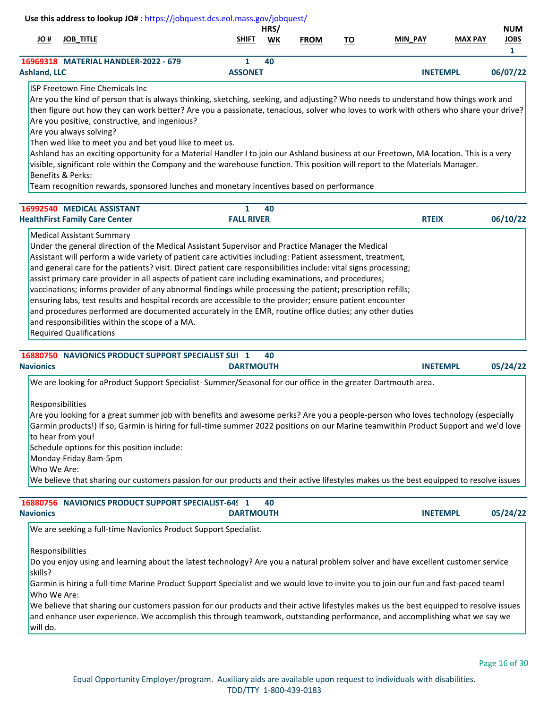|                                                                                                                                        |                   | HRS/      |             |    |                 |                | <b>NUM</b>       |
|----------------------------------------------------------------------------------------------------------------------------------------|-------------------|-----------|-------------|----|-----------------|----------------|------------------|
| <b>JOB TITLE</b><br># JO                                                                                                               | <b>SHIFT</b>      | <b>WK</b> | <b>FROM</b> | TO | <b>MIN PAY</b>  | <b>MAX PAY</b> | <b>JOBS</b><br>1 |
| 16969318 MATERIAL HANDLER-2022 - 679                                                                                                   | 1                 | 40        |             |    |                 |                |                  |
| <b>Ashland, LLC</b>                                                                                                                    | <b>ASSONET</b>    |           |             |    | <b>INETEMPL</b> |                | 06/07/22         |
| ISP Freetown Fine Chemicals Inc.                                                                                                       |                   |           |             |    |                 |                |                  |
| Are you the kind of person that is always thinking, sketching, seeking, and adjusting? Who needs to understand how things work and     |                   |           |             |    |                 |                |                  |
| then figure out how they can work better? Are you a passionate, tenacious, solver who loves to work with others who share your drive?  |                   |           |             |    |                 |                |                  |
| Are you positive, constructive, and ingenious?                                                                                         |                   |           |             |    |                 |                |                  |
| Are you always solving?                                                                                                                |                   |           |             |    |                 |                |                  |
| Then wed like to meet you and bet youd like to meet us.                                                                                |                   |           |             |    |                 |                |                  |
| Ashland has an exciting opportunity for a Material Handler I to join our Ashland business at our Freetown, MA location. This is a very |                   |           |             |    |                 |                |                  |
|                                                                                                                                        |                   |           |             |    |                 |                |                  |
| visible, significant role within the Company and the warehouse function. This position will report to the Materials Manager.           |                   |           |             |    |                 |                |                  |
| <b>Benefits &amp; Perks:</b>                                                                                                           |                   |           |             |    |                 |                |                  |
| Team recognition rewards, sponsored lunches and monetary incentives based on performance                                               |                   |           |             |    |                 |                |                  |
|                                                                                                                                        |                   |           |             |    |                 |                |                  |
| 16992540 MEDICAL ASSISTANT                                                                                                             | 1                 | 40        |             |    |                 |                |                  |
| <b>HealthFirst Family Care Center</b>                                                                                                  | <b>FALL RIVER</b> |           |             |    | <b>RTEIX</b>    |                | 06/10/22         |
| <b>Medical Assistant Summary</b>                                                                                                       |                   |           |             |    |                 |                |                  |
| Under the general direction of the Medical Assistant Supervisor and Practice Manager the Medical                                       |                   |           |             |    |                 |                |                  |
| Assistant will perform a wide variety of patient care activities including: Patient assessment, treatment,                             |                   |           |             |    |                 |                |                  |
| and general care for the patients? visit. Direct patient care responsibilities include: vital signs processing;                        |                   |           |             |    |                 |                |                  |
| assist primary care provider in all aspects of patient care including examinations, and procedures;                                    |                   |           |             |    |                 |                |                  |
| vaccinations; informs provider of any abnormal findings while processing the patient; prescription refills;                            |                   |           |             |    |                 |                |                  |
| ensuring labs, test results and hospital records are accessible to the provider; ensure patient encounter                              |                   |           |             |    |                 |                |                  |
| and procedures performed are documented accurately in the EMR, routine office duties; any other duties                                 |                   |           |             |    |                 |                |                  |
| and responsibilities within the scope of a MA.<br><b>Required Qualifications</b>                                                       |                   |           |             |    |                 |                |                  |

| <b>16880750 NAVIONICS PRODUCT SUPPORT SPECIALIST SUI 1</b> | 40                                                                                                                                                                                                                                                                     |                             |
|------------------------------------------------------------|------------------------------------------------------------------------------------------------------------------------------------------------------------------------------------------------------------------------------------------------------------------------|-----------------------------|
| <b>Navionics</b>                                           | <b>DARTMOUTH</b>                                                                                                                                                                                                                                                       | 05/24/22<br><b>INETEMPL</b> |
|                                                            | We are looking for aProduct Support Specialist-Summer/Seasonal for our office in the greater Dartmouth area.                                                                                                                                                           |                             |
| <b>Responsibilities</b>                                    |                                                                                                                                                                                                                                                                        |                             |
|                                                            | Are you looking for a great summer job with benefits and awesome perks? Are you a people-person who loves technology (especially                                                                                                                                       |                             |
| to hear from you!                                          | Garmin products!) If so, Garmin is hiring for full-time summer 2022 positions on our Marine teamwithin Product Support and we'd love                                                                                                                                   |                             |
| Schedule options for this position include:                |                                                                                                                                                                                                                                                                        |                             |
| Monday-Friday 8am-5pm                                      |                                                                                                                                                                                                                                                                        |                             |
| Who We Are:                                                |                                                                                                                                                                                                                                                                        |                             |
|                                                            | We believe that sharing our customers passion for our products and their active lifestyles makes us the best equipped to resolve issues                                                                                                                                |                             |
|                                                            |                                                                                                                                                                                                                                                                        |                             |
| <b>16880756 NAVIONICS PRODUCT SUPPORT SPECIALIST-649 1</b> | 40                                                                                                                                                                                                                                                                     |                             |
| <b>Navionics</b>                                           | <b>DARTMOUTH</b>                                                                                                                                                                                                                                                       | 05/24/22<br><b>INETEMPL</b> |
|                                                            | We are seeking a full-time Navionics Product Support Specialist.                                                                                                                                                                                                       |                             |
| Responsibilities                                           |                                                                                                                                                                                                                                                                        |                             |
| skills?                                                    | Do you enjoy using and learning about the latest technology? Are you a natural problem solver and have excellent customer service                                                                                                                                      |                             |
| Who We Are:                                                | Garmin is hiring a full-time Marine Product Support Specialist and we would love to invite you to join our fun and fast-paced team!                                                                                                                                    |                             |
| will do.                                                   | We believe that sharing our customers passion for our products and their active lifestyles makes us the best equipped to resolve issues<br>and enhance user experience. We accomplish this through teamwork, outstanding performance, and accomplishing what we say we |                             |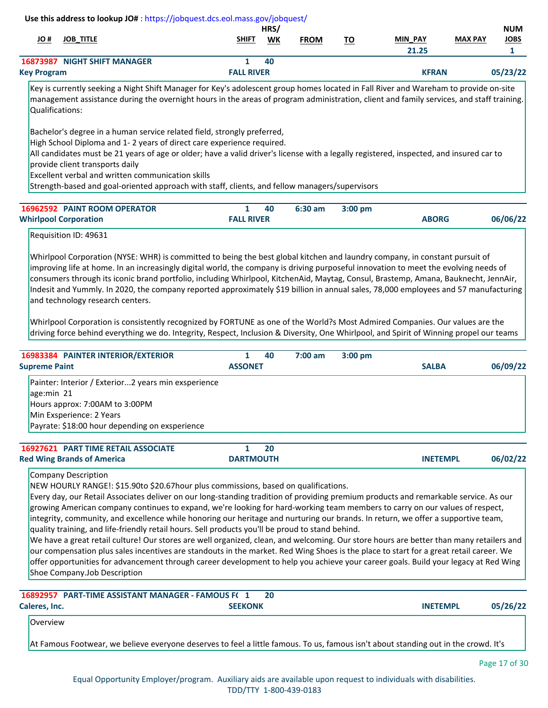|                    |                                     |                   | HRS/      |             |           |                |                | <b>NUM</b>  |
|--------------------|-------------------------------------|-------------------|-----------|-------------|-----------|----------------|----------------|-------------|
| H OL               | <b>JOB TITLE</b>                    | <b>SHIFT</b>      | <b>WK</b> | <b>FROM</b> | <u>TO</u> | <b>MIN PAY</b> | <b>MAX PAY</b> | <b>JOBS</b> |
|                    |                                     |                   |           |             |           | 21.25          |                |             |
|                    | <b>16873987 NIGHT SHIFT MANAGER</b> |                   | 40        |             |           |                |                |             |
| <b>Key Program</b> |                                     | <b>FALL RIVER</b> |           |             |           | <b>KFRAN</b>   |                | 05/23/22    |

Key is currently seeking a Night Shift Manager for Key's adolescent group homes located in Fall River and Wareham to provide on-site management assistance during the overnight hours in the areas of program administration, client and family services, and staff training. Qualifications:

Bachelor's degree in a human service related field, strongly preferred,

High School Diploma and 1- 2 years of direct care experience required.

All candidates must be 21 years of age or older; have a valid driver's license with a legally registered, inspected, and insured car to provide client transports daily

Excellent verbal and written communication skills

Strength-based and goal-oriented approach with staff, clients, and fellow managers/supervisors

| <b>16962592 PAINT ROOM OPERATOR</b> |                   | 40 | $6:30$ am | $3:00$ pm |              |          |
|-------------------------------------|-------------------|----|-----------|-----------|--------------|----------|
| <b>Whirlpool Corporation</b>        | <b>FALL RIVER</b> |    |           |           | <b>ABORG</b> | 06/06/22 |

# Requisition ID: 49631

Whirlpool Corporation (NYSE: WHR) is committed to being the best global kitchen and laundry company, in constant pursuit of improving life at home. In an increasingly digital world, the company is driving purposeful innovation to meet the evolving needs of consumers through its iconic brand portfolio, including Whirlpool, KitchenAid, Maytag, Consul, Brastemp, Amana, Bauknecht, JennAir, Indesit and Yummly. In 2020, the company reported approximately \$19 billion in annual sales, 78,000 employees and 57 manufacturing and technology research centers.

Whirlpool Corporation is consistently recognized by FORTUNE as one of the World?s Most Admired Companies. Our values are the driving force behind everything we do. Integrity, Respect, Inclusion & Diversity, One Whirlpool, and Spirit of Winning propel our teams

| 16983384 PAINTER INTERIOR/EXTERIOR                                                                                                                                                |                  | 40 | 7:00 am | $3:00$ pm |                 |          |
|-----------------------------------------------------------------------------------------------------------------------------------------------------------------------------------|------------------|----|---------|-----------|-----------------|----------|
| <b>Supreme Paint</b>                                                                                                                                                              | <b>ASSONET</b>   |    |         |           | <b>SALBA</b>    | 06/09/22 |
| Painter: Interior / Exterior2 years min exsperience<br>age:min 21<br>Hours approx: 7:00AM to 3:00PM<br>Min Exsperience: 2 Years<br>Payrate: \$18:00 hour depending on exsperience |                  |    |         |           |                 |          |
| <b>16927621 PART TIME RETAIL ASSOCIATE</b><br><b>Red Wing Brands of America</b>                                                                                                   | <b>DARTMOUTH</b> | 20 |         |           | <b>INETEMPL</b> | 06/02/22 |
| Company Description<br>NEW HOURLY RANGEL: \$15,90to \$20,67hour plus commissions, based on qualifications                                                                         |                  |    |         |           |                 |          |

NEW HOURLY RANGE!: \$15.90to \$20.67hour plus commissions, based on qualifications. Every day, our Retail Associates deliver on our long-standing tradition of providing premium products and remarkable service. As our

growing American company continues to expand, we're looking for hard-working team members to carry on our values of respect, integrity, community, and excellence while honoring our heritage and nurturing our brands. In return, we offer a supportive team, quality training, and life-friendly retail hours. Sell products you'll be proud to stand behind.

We have a great retail culture! Our stores are well organized, clean, and welcoming. Our store hours are better than many retailers and our compensation plus sales incentives are standouts in the market. Red Wing Shoes is the place to start for a great retail career. We offer opportunities for advancement through career development to help you achieve your career goals. Build your legacy at Red Wing Shoe Company.Job Description

|                 | 16892957 PART-TIME ASSISTANT MANAGER - FAMOUS F(1<br>-20                                                                            |                 |          |
|-----------------|-------------------------------------------------------------------------------------------------------------------------------------|-----------------|----------|
| Caleres, Inc.   | <b>SEEKONK</b>                                                                                                                      | <b>INETEMPL</b> | 05/26/22 |
| <b>Overview</b> |                                                                                                                                     |                 |          |
|                 | At Famous Footwear, we believe everyone deserves to feel a little famous. To us, famous isn't about standing out in the crowd. It's |                 |          |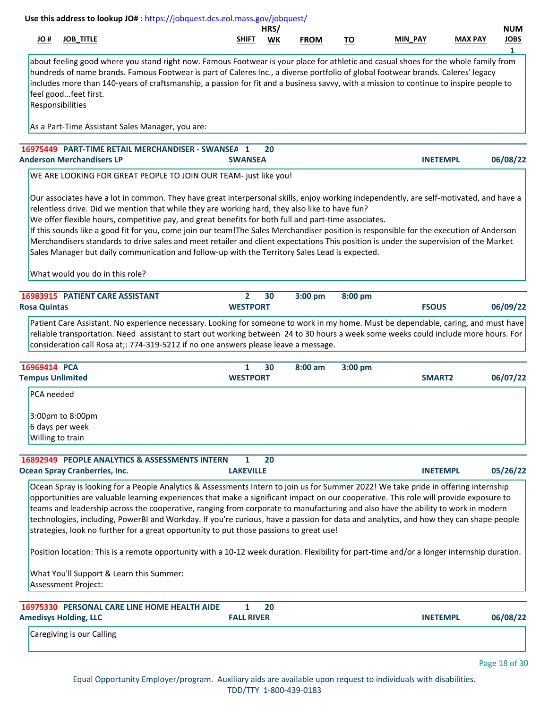|                     |                                                         | Use this address to lookup JO#: https://jobquest.dcs.eol.mass.gov/jobquest/                                                                                                                                                                                                                                                                                                                                                                                                                                                                                                                                                                                                                                                            |                                 |            |             |           |                    |                |                                |
|---------------------|---------------------------------------------------------|----------------------------------------------------------------------------------------------------------------------------------------------------------------------------------------------------------------------------------------------------------------------------------------------------------------------------------------------------------------------------------------------------------------------------------------------------------------------------------------------------------------------------------------------------------------------------------------------------------------------------------------------------------------------------------------------------------------------------------------|---------------------------------|------------|-------------|-----------|--------------------|----------------|--------------------------------|
| H OL                | <b>JOB_TITLE</b>                                        |                                                                                                                                                                                                                                                                                                                                                                                                                                                                                                                                                                                                                                                                                                                                        | SHIFT                           | HRS/<br>WK | <b>FROM</b> | <u>TO</u> | MIN PAY            | <b>MAX PAY</b> | <b>NUM</b><br><b>JOBS</b><br>1 |
|                     | feel goodfeet first.<br>Responsibilities                | about feeling good where you stand right now. Famous Footwear is your place for athletic and casual shoes for the whole family from<br>hundreds of name brands. Famous Footwear is part of Caleres Inc., a diverse portfolio of global footwear brands. Caleres' legacy<br>includes more than 140-years of craftsmanship, a passion for fit and a business savvy, with a mission to continue to inspire people to                                                                                                                                                                                                                                                                                                                      |                                 |            |             |           |                    |                |                                |
|                     |                                                         | As a Part-Time Assistant Sales Manager, you are:                                                                                                                                                                                                                                                                                                                                                                                                                                                                                                                                                                                                                                                                                       |                                 |            |             |           |                    |                |                                |
|                     | <b>Anderson Merchandisers LP</b>                        | 16975449 PART-TIME RETAIL MERCHANDISER - SWANSEA 1                                                                                                                                                                                                                                                                                                                                                                                                                                                                                                                                                                                                                                                                                     | <b>SWANSEA</b>                  | 20         |             |           | <b>INETEMPL</b>    |                | 06/08/22                       |
|                     |                                                         | WE ARE LOOKING FOR GREAT PEOPLE TO JOIN OUR TEAM- just like you!                                                                                                                                                                                                                                                                                                                                                                                                                                                                                                                                                                                                                                                                       |                                 |            |             |           |                    |                |                                |
|                     |                                                         | Our associates have a lot in common. They have great interpersonal skills, enjoy working independently, are self-motivated, and have a<br>relentless drive. Did we mention that while they are working hard, they also like to have fun?<br>We offer flexible hours, competitive pay, and great benefits for both full and part-time associates.<br>If this sounds like a good fit for you, come join our team!The Sales Merchandiser position is responsible for the execution of Anderson<br>Merchandisers standards to drive sales and meet retailer and client expectations This position is under the supervision of the Market<br>Sales Manager but daily communication and follow-up with the Territory Sales Lead is expected. |                                 |            |             |           |                    |                |                                |
|                     | What would you do in this role?                         |                                                                                                                                                                                                                                                                                                                                                                                                                                                                                                                                                                                                                                                                                                                                        |                                 |            |             |           |                    |                |                                |
| <b>Rosa Quintas</b> | 16983915 PATIENT CARE ASSISTANT                         |                                                                                                                                                                                                                                                                                                                                                                                                                                                                                                                                                                                                                                                                                                                                        | $\mathbf{2}$<br><b>WESTPORT</b> | 30         | 3:00 pm     | 8:00 pm   | <b>FSOUS</b>       |                | 06/09/22                       |
|                     |                                                         | Patient Care Assistant. No experience necessary. Looking for someone to work in my home. Must be dependable, caring, and must have<br>reliable transportation. Need assistant to start out working between 24 to 30 hours a week some weeks could include more hours. For<br>consideration call Rosa at;: 774-319-5212 if no one answers please leave a message.                                                                                                                                                                                                                                                                                                                                                                       |                                 |            |             |           |                    |                |                                |
| 16969414 PCA        | <b>Tempus Unlimited</b>                                 |                                                                                                                                                                                                                                                                                                                                                                                                                                                                                                                                                                                                                                                                                                                                        | $\mathbf{1}$<br><b>WESTPORT</b> | 30         | $8:00$ am   | 3:00 pm   | SMART <sub>2</sub> |                | 06/07/22                       |
| PCA needed          |                                                         |                                                                                                                                                                                                                                                                                                                                                                                                                                                                                                                                                                                                                                                                                                                                        |                                 |            |             |           |                    |                |                                |
|                     | 3:00pm to 8:00pm<br>6 days per week<br>Willing to train |                                                                                                                                                                                                                                                                                                                                                                                                                                                                                                                                                                                                                                                                                                                                        |                                 |            |             |           |                    |                |                                |
|                     |                                                         | 16892949 PEOPLE ANALYTICS & ASSESSMENTS INTERN                                                                                                                                                                                                                                                                                                                                                                                                                                                                                                                                                                                                                                                                                         | $\mathbf{1}$                    | 20         |             |           |                    |                |                                |
|                     | <b>Ocean Spray Cranberries, Inc.</b>                    | Ocean Spray is looking for a People Analytics & Assessments Intern to join us for Summer 2022! We take pride in offering internship<br>opportunities are valuable learning experiences that make a significant impact on our cooperative. This role will provide exposure to<br>teams and leadership across the cooperative, ranging from corporate to manufacturing and also have the ability to work in modern<br>technologies, including, PowerBI and Workday. If you're curious, have a passion for data and analytics, and how they can shape people<br>strategies, look no further for a great opportunity to put those passions to great use!                                                                                   | <b>LAKEVILLE</b>                |            |             |           | <b>INETEMPL</b>    |                | 05/26/22                       |
|                     | Assessment Project:                                     | Position location: This is a remote opportunity with a 10-12 week duration. Flexibility for part-time and/or a longer internship duration.<br>What You'll Support & Learn this Summer:                                                                                                                                                                                                                                                                                                                                                                                                                                                                                                                                                 |                                 |            |             |           |                    |                |                                |
|                     | <b>Amedisys Holding, LLC</b>                            | 16975330 PERSONAL CARE LINE HOME HEALTH AIDE                                                                                                                                                                                                                                                                                                                                                                                                                                                                                                                                                                                                                                                                                           | 1<br><b>FALL RIVER</b>          | 20         |             |           | <b>INETEMPL</b>    |                | 06/08/22                       |
|                     | Caregiving is our Calling                               |                                                                                                                                                                                                                                                                                                                                                                                                                                                                                                                                                                                                                                                                                                                                        |                                 |            |             |           |                    |                |                                |
|                     |                                                         |                                                                                                                                                                                                                                                                                                                                                                                                                                                                                                                                                                                                                                                                                                                                        |                                 |            |             |           |                    |                | Page 18 of 30                  |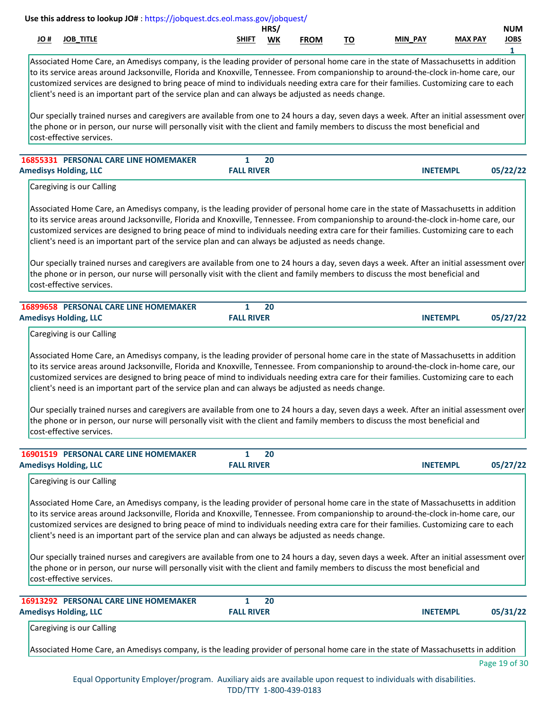|      |             |                                                 | HRS,      |             |                                             |                   |         | NUM         |
|------|-------------|-------------------------------------------------|-----------|-------------|---------------------------------------------|-------------------|---------|-------------|
| JU # | JOB<br>,,,, | <b>SHIFT</b><br>the contract of the contract of | <b>WK</b> | <b>FROM</b> | <u>тс</u><br>טו<br>$\overline{\phantom{a}}$ | <b>PAY</b><br>MIN | MAY DAV | <b>JOBS</b> |
|      |             |                                                 |           |             |                                             |                   |         |             |

Associated Home Care, an Amedisys company, is the leading provider of personal home care in the state of Massachusetts in addition to its service areas around Jacksonville, Florida and Knoxville, Tennessee. From companionship to around-the-clock in-home care, our customized services are designed to bring peace of mind to individuals needing extra care for their families. Customizing care to each client's need is an important part of the service plan and can always be adjusted as needs change.

Our specially trained nurses and caregivers are available from one to 24 hours a day, seven days a week. After an initial assessment over the phone or in person, our nurse will personally visit with the client and family members to discuss the most beneficial and cost-effective services.

| <b>16855331 PERSONAL CARE LINE HOMEMAKER</b> |                   |                 |          |
|----------------------------------------------|-------------------|-----------------|----------|
| <b>Amedisys Holding, LLC</b>                 | <b>FALL RIVER</b> | <b>INETEMPL</b> | 05/22/22 |
|                                              |                   |                 |          |

Caregiving is our Calling

Associated Home Care, an Amedisys company, is the leading provider of personal home care in the state of Massachusetts in addition to its service areas around Jacksonville, Florida and Knoxville, Tennessee. From companionship to around-the-clock in-home care, our customized services are designed to bring peace of mind to individuals needing extra care for their families. Customizing care to each client's need is an important part of the service plan and can always be adjusted as needs change.

Our specially trained nurses and caregivers are available from one to 24 hours a day, seven days a week. After an initial assessment over the phone or in person, our nurse will personally visit with the client and family members to discuss the most beneficial and cost-effective services.

| <b>16899658 PERSONAL CARE LINE HOMEMAKER</b> | 20                |                 |  |
|----------------------------------------------|-------------------|-----------------|--|
| <b>Amedisys Holding, LLC</b>                 | <b>FALL RIVER</b> | <b>INETEMPL</b> |  |
|                                              |                   |                 |  |

Caregiving is our Calling

Associated Home Care, an Amedisys company, is the leading provider of personal home care in the state of Massachusetts in addition to its service areas around Jacksonville, Florida and Knoxville, Tennessee. From companionship to around-the-clock in-home care, our customized services are designed to bring peace of mind to individuals needing extra care for their families. Customizing care to each client's need is an important part of the service plan and can always be adjusted as needs change.

Our specially trained nurses and caregivers are available from one to 24 hours a day, seven days a week. After an initial assessment over the phone or in person, our nurse will personally visit with the client and family members to discuss the most beneficial and cost-effective services.

| <b>16901519 PERSONAL CARE LINE HOMEMAKER</b> | 20                |                 |          |
|----------------------------------------------|-------------------|-----------------|----------|
| <b>Amedisys Holding, LLC</b>                 | <b>FALL RIVER</b> | <b>INETEMPL</b> | 05/27/22 |

Caregiving is our Calling

Associated Home Care, an Amedisys company, is the leading provider of personal home care in the state of Massachusetts in addition to its service areas around Jacksonville, Florida and Knoxville, Tennessee. From companionship to around-the-clock in-home care, our customized services are designed to bring peace of mind to individuals needing extra care for their families. Customizing care to each client's need is an important part of the service plan and can always be adjusted as needs change.

Our specially trained nurses and caregivers are available from one to 24 hours a day, seven days a week. After an initial assessment over the phone or in person, our nurse will personally visit with the client and family members to discuss the most beneficial and cost-effective services.

| <b>16913292 PERSONAL CARE LINE HOMEMAKER</b><br><b>Amedisys Holding, LLC</b>                                                       | 20<br><b>FALL RIVER</b> | <b>INETEMPL</b> | 05/31/22 |  |  |  |
|------------------------------------------------------------------------------------------------------------------------------------|-------------------------|-----------------|----------|--|--|--|
| Caregiving is our Calling                                                                                                          |                         |                 |          |  |  |  |
| Associated Home Care, an Amedisys company, is the leading provider of personal home care in the state of Massachusetts in addition |                         |                 |          |  |  |  |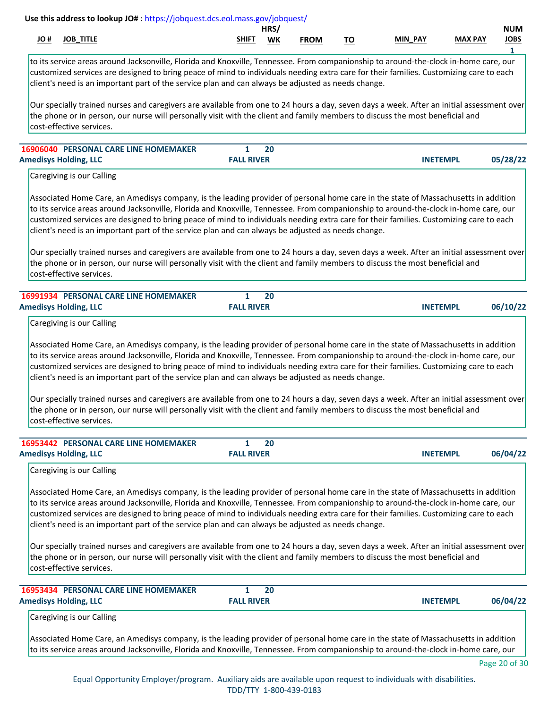|      |             |                                                 | HRS,      |             |                                             |                   |         | NUM         |
|------|-------------|-------------------------------------------------|-----------|-------------|---------------------------------------------|-------------------|---------|-------------|
| JU # | JOB<br>,,,, | <b>SHIFT</b><br>the contract of the contract of | <b>WK</b> | <b>FROM</b> | <u>тс</u><br>טו<br>$\overline{\phantom{a}}$ | <b>PAY</b><br>MIN | MAY DAV | <b>JOBS</b> |
|      |             |                                                 |           |             |                                             |                   |         |             |

to its service areas around Jacksonville, Florida and Knoxville, Tennessee. From companionship to around-the-clock in-home care, our customized services are designed to bring peace of mind to individuals needing extra care for their families. Customizing care to each client's need is an important part of the service plan and can always be adjusted as needs change.

Our specially trained nurses and caregivers are available from one to 24 hours a day, seven days a week. After an initial assessment over the phone or in person, our nurse will personally visit with the client and family members to discuss the most beneficial and cost-effective services.

| <b>16906040 PERSONAL CARE LINE HOMEMAKER</b> | 20                |                             |
|----------------------------------------------|-------------------|-----------------------------|
| <b>Amedisys Holding, LLC</b>                 | <b>FALL RIVER</b> | 05/28/22<br><b>INETEMPL</b> |

Caregiving is our Calling

Associated Home Care, an Amedisys company, is the leading provider of personal home care in the state of Massachusetts in addition to its service areas around Jacksonville, Florida and Knoxville, Tennessee. From companionship to around-the-clock in-home care, our customized services are designed to bring peace of mind to individuals needing extra care for their families. Customizing care to each client's need is an important part of the service plan and can always be adjusted as needs change.

Our specially trained nurses and caregivers are available from one to 24 hours a day, seven days a week. After an initial assessment over the phone or in person, our nurse will personally visit with the client and family members to discuss the most beneficial and cost-effective services.

| <b>16991934 PERSONAL CARE LINE HOMEMAKER</b> | 20                |                             |  |
|----------------------------------------------|-------------------|-----------------------------|--|
| <b>Amedisys Holding, LLC</b>                 | <b>FALL RIVER</b> | 06/10/22<br><b>INETEMPL</b> |  |

Caregiving is our Calling

Associated Home Care, an Amedisys company, is the leading provider of personal home care in the state of Massachusetts in addition to its service areas around Jacksonville, Florida and Knoxville, Tennessee. From companionship to around-the-clock in-home care, our customized services are designed to bring peace of mind to individuals needing extra care for their families. Customizing care to each client's need is an important part of the service plan and can always be adjusted as needs change.

Our specially trained nurses and caregivers are available from one to 24 hours a day, seven days a week. After an initial assessment over the phone or in person, our nurse will personally visit with the client and family members to discuss the most beneficial and cost-effective services.

| <b>16953442 PERSONAL CARE LINE HOMEMAKER</b> | 20                |                 |          |
|----------------------------------------------|-------------------|-----------------|----------|
| <b>Amedisys Holding, LLC</b>                 | <b>FALL RIVER</b> | <b>INETEMPL</b> | 06/04/22 |
| Caregiving is our Calling                    |                   |                 |          |

Associated Home Care, an Amedisys company, is the leading provider of personal home care in the state of Massachusetts in addition to its service areas around Jacksonville, Florida and Knoxville, Tennessee. From companionship to around-the-clock in-home care, our customized services are designed to bring peace of mind to individuals needing extra care for their families. Customizing care to each client's need is an important part of the service plan and can always be adjusted as needs change.

Our specially trained nurses and caregivers are available from one to 24 hours a day, seven days a week. After an initial assessment over the phone or in person, our nurse will personally visit with the client and family members to discuss the most beneficial and cost-effective services.

| <b>16953434 PERSONAL CARE LINE HOMEMAKER</b><br><b>Amedisys Holding, LLC</b>                                                                                                                                                                                               | <b>FALL RIVER</b> | 20 | <b>INETEMPL</b> | 06/04/22 |
|----------------------------------------------------------------------------------------------------------------------------------------------------------------------------------------------------------------------------------------------------------------------------|-------------------|----|-----------------|----------|
| Caregiving is our Calling                                                                                                                                                                                                                                                  |                   |    |                 |          |
| Associated Home Care, an Amedisys company, is the leading provider of personal home care in the state of Massachusetts in addition<br>to its service areas around Jacksonville, Florida and Knoxville, Tennessee. From companionship to around-the-clock in-home care, our |                   |    |                 |          |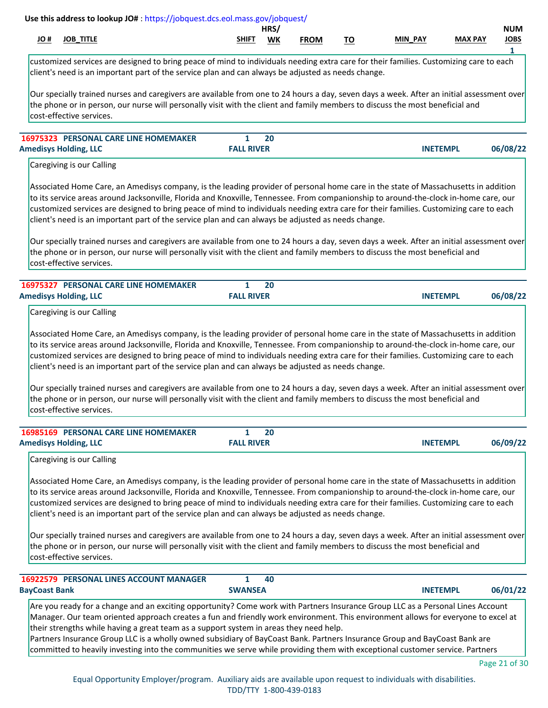|      |              |                         | <b>HRS</b> |             |                   |            |                | NUM         |
|------|--------------|-------------------------|------------|-------------|-------------------|------------|----------------|-------------|
| JU # | TITLE<br>JOB | <b>SHIFT</b><br>_______ | <b>WK</b>  | <b>FROM</b> | ÷-<br>''<br>_____ | PAY<br>MIN | <b>MAX PAY</b> | <b>JOBS</b> |
|      |              |                         |            |             |                   |            |                |             |

customized services are designed to bring peace of mind to individuals needing extra care for their families. Customizing care to each client's need is an important part of the service plan and can always be adjusted as needs change.

Our specially trained nurses and caregivers are available from one to 24 hours a day, seven days a week. After an initial assessment over the phone or in person, our nurse will personally visit with the client and family members to discuss the most beneficial and cost-effective services.

| <b>16975323 PERSONAL CARE LINE HOMEMAKER</b> | 20                |                             |
|----------------------------------------------|-------------------|-----------------------------|
| <b>Amedisys Holding, LLC</b>                 | <b>FALL RIVER</b> | 06/08/22<br><b>INETEMPI</b> |

Caregiving is our Calling

Associated Home Care, an Amedisys company, is the leading provider of personal home care in the state of Massachusetts in addition to its service areas around Jacksonville, Florida and Knoxville, Tennessee. From companionship to around-the-clock in-home care, our customized services are designed to bring peace of mind to individuals needing extra care for their families. Customizing care to each client's need is an important part of the service plan and can always be adjusted as needs change.

Our specially trained nurses and caregivers are available from one to 24 hours a day, seven days a week. After an initial assessment over the phone or in person, our nurse will personally visit with the client and family members to discuss the most beneficial and cost-effective services.

| <b>16975327 PERSONAL CARE LINE HOMEMAKER</b> |                   |                             |
|----------------------------------------------|-------------------|-----------------------------|
| <b>Amedisys Holding, LLC</b>                 | <b>FALL RIVER</b> | 06/08/22<br><b>INETEMPL</b> |

Caregiving is our Calling

Associated Home Care, an Amedisys company, is the leading provider of personal home care in the state of Massachusetts in addition to its service areas around Jacksonville, Florida and Knoxville, Tennessee. From companionship to around-the-clock in-home care, our customized services are designed to bring peace of mind to individuals needing extra care for their families. Customizing care to each client's need is an important part of the service plan and can always be adjusted as needs change.

Our specially trained nurses and caregivers are available from one to 24 hours a day, seven days a week. After an initial assessment over the phone or in person, our nurse will personally visit with the client and family members to discuss the most beneficial and cost-effective services.

| <b>16985169 PERSONAL CARE LINE HOMEMAKER</b> |                   | 20 |                 |          |
|----------------------------------------------|-------------------|----|-----------------|----------|
| <b>Amedisys Holding, LLC</b>                 | <b>FALL RIVER</b> |    | <b>INETEMPL</b> | 06/09/22 |

Caregiving is our Calling

Associated Home Care, an Amedisys company, is the leading provider of personal home care in the state of Massachusetts in addition to its service areas around Jacksonville, Florida and Knoxville, Tennessee. From companionship to around-the-clock in-home care, our customized services are designed to bring peace of mind to individuals needing extra care for their families. Customizing care to each client's need is an important part of the service plan and can always be adjusted as needs change.

Our specially trained nurses and caregivers are available from one to 24 hours a day, seven days a week. After an initial assessment over the phone or in person, our nurse will personally visit with the client and family members to discuss the most beneficial and cost-effective services.

| <b>16922579 PERSONAL LINES ACCOUNT MANAGER</b>                                                                                    |                | 40 |  |                 |          |  |
|-----------------------------------------------------------------------------------------------------------------------------------|----------------|----|--|-----------------|----------|--|
| <b>BayCoast Bank</b>                                                                                                              | <b>SWANSEA</b> |    |  | <b>INETEMPL</b> | 06/01/22 |  |
| Are you ready for a change and an exciting opportunity? Come work with Partners Insurance Group LLC as a Personal Lines Account   |                |    |  |                 |          |  |
| Manager. Our team oriented approach creates a fun and friendly work environment. This environment allows for everyone to excel at |                |    |  |                 |          |  |
| their strengths while having a great team as a support system in areas they need help.                                            |                |    |  |                 |          |  |
| Partners Insurance Group LLC is a wholly owned subsidiary of BayCoast Bank. Partners Insurance Group and BayCoast Bank are        |                |    |  |                 |          |  |
| committed to heavily investing into the communities we serve while providing them with exceptional customer service. Partners     |                |    |  |                 |          |  |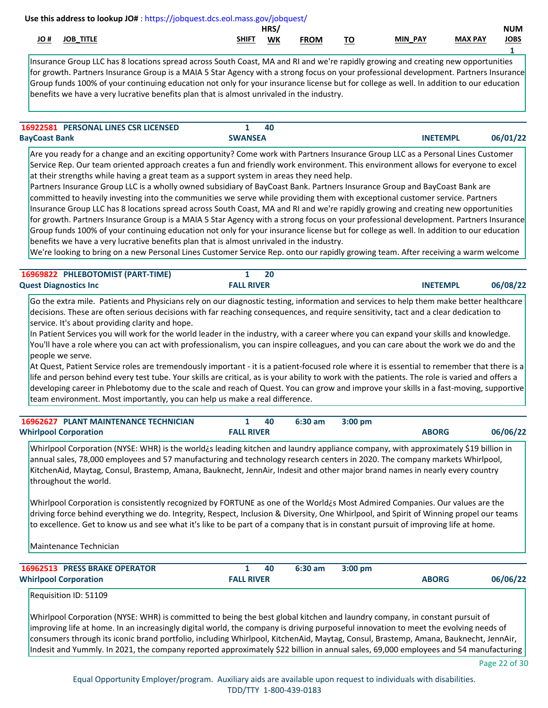|           |              |                         | <b>HRS</b> |             |                                       |            |                | <b>NUM</b>    |
|-----------|--------------|-------------------------|------------|-------------|---------------------------------------|------------|----------------|---------------|
| .<br>JU # | TITLE<br>IOB | <b>SHIFT</b><br>_______ | <b>WK</b>  | <b>FROM</b> | --<br>. J<br>$\overline{\phantom{a}}$ | PAY<br>MIN | <b>MAX PAY</b> | JOBS<br>_____ |
|           |              |                         |            |             |                                       |            |                |               |

Insurance Group LLC has 8 locations spread across South Coast, MA and RI and we're rapidly growing and creating new opportunities for growth. Partners Insurance Group is a MAIA 5 Star Agency with a strong focus on your professional development. Partners Insurance Group funds 100% of your continuing education not only for your insurance license but for college as well. In addition to our education benefits we have a very lucrative benefits plan that is almost unrivaled in the industry.

| <b>16922581 PERSONAL LINES CSR LICENSED</b> | 40             |                 |          |
|---------------------------------------------|----------------|-----------------|----------|
| <b>BayCoast Bank</b>                        | <b>SWANSEA</b> | <b>INETEMPL</b> | 06/01/22 |

Are you ready for a change and an exciting opportunity? Come work with Partners Insurance Group LLC as a Personal Lines Customer Service Rep. Our team oriented approach creates a fun and friendly work environment. This environment allows for everyone to excel at their strengths while having a great team as a support system in areas they need help.

Partners Insurance Group LLC is a wholly owned subsidiary of BayCoast Bank. Partners Insurance Group and BayCoast Bank are committed to heavily investing into the communities we serve while providing them with exceptional customer service. Partners Insurance Group LLC has 8 locations spread across South Coast, MA and RI and we're rapidly growing and creating new opportunities for growth. Partners Insurance Group is a MAIA 5 Star Agency with a strong focus on your professional development. Partners Insurance Group funds 100% of your continuing education not only for your insurance license but for college as well. In addition to our education benefits we have a very lucrative benefits plan that is almost unrivaled in the industry.

We're looking to bring on a new Personal Lines Customer Service Rep. onto our rapidly growing team. After receiving a warm welcome

| 16969822 PHLEBOTOMIST (PART-TIME) | $\mathbf{r}$      |                             |
|-----------------------------------|-------------------|-----------------------------|
| <b>Quest Diagnostics Inc.</b>     | <b>FALL RIVER</b> | 06/08/22<br><b>INETEMPL</b> |

Go the extra mile. Patients and Physicians rely on our diagnostic testing, information and services to help them make better healthcare decisions. These are often serious decisions with far reaching consequences, and require sensitivity, tact and a clear dedication to service. It's about providing clarity and hope.

In Patient Services you will work for the world leader in the industry, with a career where you can expand your skills and knowledge. You'll have a role where you can act with professionalism, you can inspire colleagues, and you can care about the work we do and the people we serve.

At Quest, Patient Service roles are tremendously important - it is a patient-focused role where it is essential to remember that there is a life and person behind every test tube. Your skills are critical, as is your ability to work with the patients. The role is varied and offers a developing career in Phlebotomy due to the scale and reach of Quest. You can grow and improve your skills in a fast-moving, supportive team environment. Most importantly, you can help us make a real difference.

| <b>16962627 PLANT MAINTENANCE TECHNICIAN</b> |                   | 40 | $6:30$ am | $3:00$ pm |              |          |
|----------------------------------------------|-------------------|----|-----------|-----------|--------------|----------|
| <b>Whirlpool Corporation</b>                 | <b>FALL RIVER</b> |    |           |           | <b>ABORG</b> | 06/06/22 |

Whirlpool Corporation (NYSE: WHR) is the world¿s leading kitchen and laundry appliance company, with approximately \$19 billion in annual sales, 78,000 employees and 57 manufacturing and technology research centers in 2020. The company markets Whirlpool, KitchenAid, Maytag, Consul, Brastemp, Amana, Bauknecht, JennAir, Indesit and other major brand names in nearly every country throughout the world.

Whirlpool Corporation is consistently recognized by FORTUNE as one of the World¿s Most Admired Companies. Our values are the driving force behind everything we do. Integrity, Respect, Inclusion & Diversity, One Whirlpool, and Spirit of Winning propel our teams to excellence. Get to know us and see what it's like to be part of a company that is in constant pursuit of improving life at home.

Maintenance Technician

| <b>16962513 PRESS BRAKE OPERATOR</b> |                   | -40 | 6:30 am | 3:00 pm |              |          |
|--------------------------------------|-------------------|-----|---------|---------|--------------|----------|
| <b>Whirlpool Corporation</b>         | <b>FALL RIVER</b> |     |         |         | <b>ABORG</b> | 06/06/22 |

```
Requisition ID: 51109
```
Whirlpool Corporation (NYSE: WHR) is committed to being the best global kitchen and laundry company, in constant pursuit of improving life at home. In an increasingly digital world, the company is driving purposeful innovation to meet the evolving needs of consumers through its iconic brand portfolio, including Whirlpool, KitchenAid, Maytag, Consul, Brastemp, Amana, Bauknecht, JennAir, Indesit and Yummly. In 2021, the company reported approximately \$22 billion in annual sales, 69,000 employees and 54 manufacturing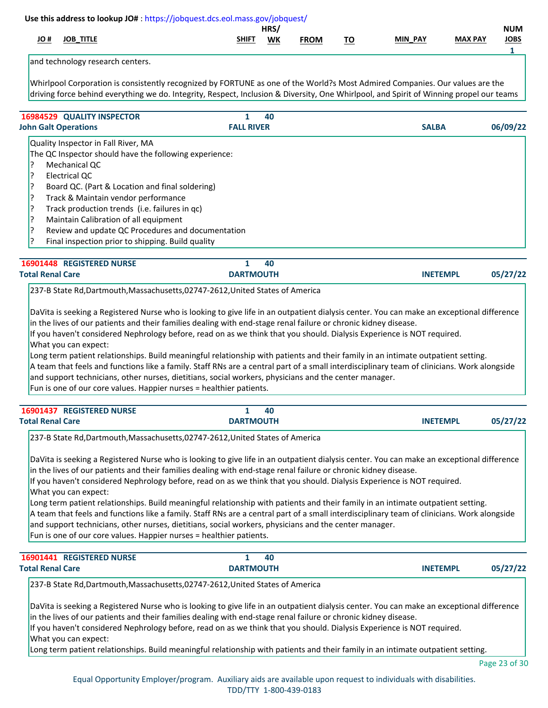|                                                                    |                                                                                                                                                                                                                                                                                                                                                                                                                                      | Use this address to lookup JO#: https://jobquest.dcs.eol.mass.gov/jobquest/                                                                                                                                                                                                                                                                                                                                                                                                                                                                                                                                                                                                                                                                                                                                                                                                                                                                                                                      |                                        |             |           |                 |                |                                           |
|--------------------------------------------------------------------|--------------------------------------------------------------------------------------------------------------------------------------------------------------------------------------------------------------------------------------------------------------------------------------------------------------------------------------------------------------------------------------------------------------------------------------|--------------------------------------------------------------------------------------------------------------------------------------------------------------------------------------------------------------------------------------------------------------------------------------------------------------------------------------------------------------------------------------------------------------------------------------------------------------------------------------------------------------------------------------------------------------------------------------------------------------------------------------------------------------------------------------------------------------------------------------------------------------------------------------------------------------------------------------------------------------------------------------------------------------------------------------------------------------------------------------------------|----------------------------------------|-------------|-----------|-----------------|----------------|-------------------------------------------|
| # OL                                                               | <b>JOB_TITLE</b>                                                                                                                                                                                                                                                                                                                                                                                                                     |                                                                                                                                                                                                                                                                                                                                                                                                                                                                                                                                                                                                                                                                                                                                                                                                                                                                                                                                                                                                  | HRS/<br><b>SHIFT</b><br>WK             | <b>FROM</b> | <u>TO</u> | MIN_PAY         | <b>MAX PAY</b> | <b>NUM</b><br><b>JOBS</b><br>$\mathbf{1}$ |
|                                                                    | and technology research centers.                                                                                                                                                                                                                                                                                                                                                                                                     |                                                                                                                                                                                                                                                                                                                                                                                                                                                                                                                                                                                                                                                                                                                                                                                                                                                                                                                                                                                                  |                                        |             |           |                 |                |                                           |
|                                                                    |                                                                                                                                                                                                                                                                                                                                                                                                                                      | Whirlpool Corporation is consistently recognized by FORTUNE as one of the World?s Most Admired Companies. Our values are the<br>driving force behind everything we do. Integrity, Respect, Inclusion & Diversity, One Whirlpool, and Spirit of Winning propel our teams                                                                                                                                                                                                                                                                                                                                                                                                                                                                                                                                                                                                                                                                                                                          |                                        |             |           |                 |                |                                           |
|                                                                    | 16984529 QUALITY INSPECTOR                                                                                                                                                                                                                                                                                                                                                                                                           |                                                                                                                                                                                                                                                                                                                                                                                                                                                                                                                                                                                                                                                                                                                                                                                                                                                                                                                                                                                                  | $\mathbf{1}$<br>40                     |             |           |                 |                |                                           |
|                                                                    | <b>John Galt Operations</b>                                                                                                                                                                                                                                                                                                                                                                                                          |                                                                                                                                                                                                                                                                                                                                                                                                                                                                                                                                                                                                                                                                                                                                                                                                                                                                                                                                                                                                  | <b>FALL RIVER</b>                      |             |           | <b>SALBA</b>    |                | 06/09/22                                  |
| ?<br>P.<br>13<br>3<br>3<br>3<br>3<br>1?<br><b>Total Renal Care</b> | Quality Inspector in Fall River, MA<br>The QC Inspector should have the following experience:<br>Mechanical QC<br><b>Electrical QC</b><br>Board QC. (Part & Location and final soldering)<br>Track & Maintain vendor performance<br>Track production trends (i.e. failures in qc)<br>Maintain Calibration of all equipment<br>Final inspection prior to shipping. Build quality<br>16901448 REGISTERED NURSE<br>What you can expect: | Review and update QC Procedures and documentation<br>237-B State Rd, Dartmouth, Massachusetts, 02747-2612, United States of America<br>DaVita is seeking a Registered Nurse who is looking to give life in an outpatient dialysis center. You can make an exceptional difference<br>in the lives of our patients and their families dealing with end-stage renal failure or chronic kidney disease.<br>If you haven't considered Nephrology before, read on as we think that you should. Dialysis Experience is NOT required.<br>Long term patient relationships. Build meaningful relationship with patients and their family in an intimate outpatient setting.<br>A team that feels and functions like a family. Staff RNs are a central part of a small interdisciplinary team of clinicians. Work alongside<br>and support technicians, other nurses, dietitians, social workers, physicians and the center manager.<br>Fun is one of our core values. Happier nurses = healthier patients. | $\mathbf{1}$<br>40<br><b>DARTMOUTH</b> |             |           | <b>INETEMPL</b> |                | 05/27/22                                  |
|                                                                    | 16901437 REGISTERED NURSE                                                                                                                                                                                                                                                                                                                                                                                                            |                                                                                                                                                                                                                                                                                                                                                                                                                                                                                                                                                                                                                                                                                                                                                                                                                                                                                                                                                                                                  | 1<br>40                                |             |           |                 |                |                                           |
| <b>Total Renal Care</b>                                            |                                                                                                                                                                                                                                                                                                                                                                                                                                      |                                                                                                                                                                                                                                                                                                                                                                                                                                                                                                                                                                                                                                                                                                                                                                                                                                                                                                                                                                                                  | <b>DARTMOUTH</b>                       |             |           | <b>INETEMPL</b> |                | 05/27/22                                  |
|                                                                    | What you can expect:                                                                                                                                                                                                                                                                                                                                                                                                                 | 237-B State Rd, Dartmouth, Massachusetts, 02747-2612, United States of America<br>DaVita is seeking a Registered Nurse who is looking to give life in an outpatient dialysis center. You can make an exceptional difference<br>in the lives of our patients and their families dealing with end-stage renal failure or chronic kidney disease.<br>If you haven't considered Nephrology before, read on as we think that you should. Dialysis Experience is NOT required.<br>Long term patient relationships. Build meaningful relationship with patients and their family in an intimate outpatient setting.<br>A team that feels and functions like a family. Staff RNs are a central part of a small interdisciplinary team of clinicians. Work alongside<br>and support technicians, other nurses, dietitians, social workers, physicians and the center manager.<br>Fun is one of our core values. Happier nurses = healthier patients.                                                      |                                        |             |           |                 |                |                                           |
|                                                                    | 16901441 REGISTERED NURSE                                                                                                                                                                                                                                                                                                                                                                                                            |                                                                                                                                                                                                                                                                                                                                                                                                                                                                                                                                                                                                                                                                                                                                                                                                                                                                                                                                                                                                  | 1<br>40                                |             |           |                 |                |                                           |
| <b>Total Renal Care</b>                                            |                                                                                                                                                                                                                                                                                                                                                                                                                                      | 237-B State Rd, Dartmouth, Massachusetts, 02747-2612, United States of America                                                                                                                                                                                                                                                                                                                                                                                                                                                                                                                                                                                                                                                                                                                                                                                                                                                                                                                   | <b>DARTMOUTH</b>                       |             |           | <b>INETEMPL</b> |                | 05/27/22                                  |
|                                                                    | What you can expect:                                                                                                                                                                                                                                                                                                                                                                                                                 | DaVita is seeking a Registered Nurse who is looking to give life in an outpatient dialysis center. You can make an exceptional difference<br>in the lives of our patients and their families dealing with end-stage renal failure or chronic kidney disease.<br>If you haven't considered Nephrology before, read on as we think that you should. Dialysis Experience is NOT required.<br>Long term patient relationships. Build meaningful relationship with patients and their family in an intimate outpatient setting.                                                                                                                                                                                                                                                                                                                                                                                                                                                                       |                                        |             |           |                 |                |                                           |
|                                                                    |                                                                                                                                                                                                                                                                                                                                                                                                                                      |                                                                                                                                                                                                                                                                                                                                                                                                                                                                                                                                                                                                                                                                                                                                                                                                                                                                                                                                                                                                  |                                        |             |           |                 |                | Page 23 of 30                             |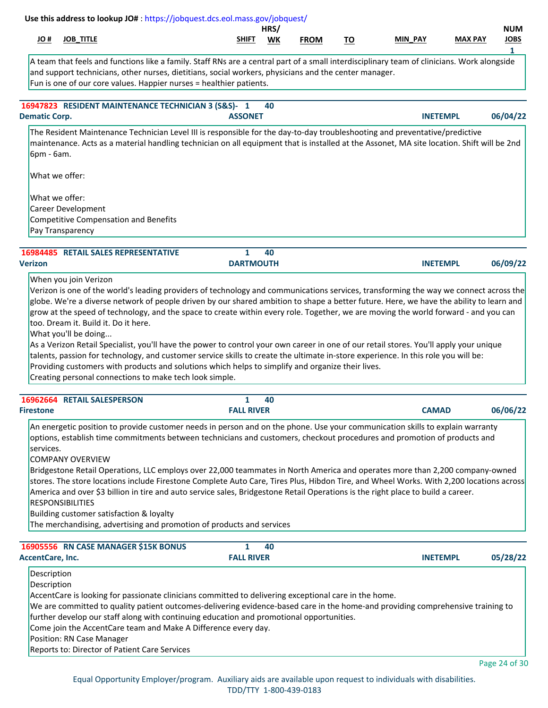| # OL                    | <b>JOB_TITLE</b>                                                                                                                                                                                                                                                                                                                                                                                                                                                                                                                                                                                                                                                                                                                                                                                                                                    | SHIFT             | HRS/      |             |           | <b>MIN PAY</b>  | <b>MAX PAY</b> | <b>NUM</b><br><b>JOBS</b> |
|-------------------------|-----------------------------------------------------------------------------------------------------------------------------------------------------------------------------------------------------------------------------------------------------------------------------------------------------------------------------------------------------------------------------------------------------------------------------------------------------------------------------------------------------------------------------------------------------------------------------------------------------------------------------------------------------------------------------------------------------------------------------------------------------------------------------------------------------------------------------------------------------|-------------------|-----------|-------------|-----------|-----------------|----------------|---------------------------|
|                         |                                                                                                                                                                                                                                                                                                                                                                                                                                                                                                                                                                                                                                                                                                                                                                                                                                                     |                   | <b>WK</b> | <b>FROM</b> | <u>TO</u> |                 |                | 1                         |
|                         | A team that feels and functions like a family. Staff RNs are a central part of a small interdisciplinary team of clinicians. Work alongside<br>and support technicians, other nurses, dietitians, social workers, physicians and the center manager.<br>Fun is one of our core values. Happier nurses = healthier patients.                                                                                                                                                                                                                                                                                                                                                                                                                                                                                                                         |                   |           |             |           |                 |                |                           |
|                         | 16947823 RESIDENT MAINTENANCE TECHNICIAN 3 (S&S)- 1                                                                                                                                                                                                                                                                                                                                                                                                                                                                                                                                                                                                                                                                                                                                                                                                 |                   | 40        |             |           |                 |                |                           |
| <b>Dematic Corp.</b>    |                                                                                                                                                                                                                                                                                                                                                                                                                                                                                                                                                                                                                                                                                                                                                                                                                                                     | <b>ASSONET</b>    |           |             |           | <b>INETEMPL</b> |                | 06/04/22                  |
| 6pm - 6am.              | The Resident Maintenance Technician Level III is responsible for the day-to-day troubleshooting and preventative/predictive<br>maintenance. Acts as a material handling technician on all equipment that is installed at the Assonet, MA site location. Shift will be 2nd                                                                                                                                                                                                                                                                                                                                                                                                                                                                                                                                                                           |                   |           |             |           |                 |                |                           |
|                         | What we offer:                                                                                                                                                                                                                                                                                                                                                                                                                                                                                                                                                                                                                                                                                                                                                                                                                                      |                   |           |             |           |                 |                |                           |
|                         | What we offer:                                                                                                                                                                                                                                                                                                                                                                                                                                                                                                                                                                                                                                                                                                                                                                                                                                      |                   |           |             |           |                 |                |                           |
|                         | <b>Career Development</b><br><b>Competitive Compensation and Benefits</b>                                                                                                                                                                                                                                                                                                                                                                                                                                                                                                                                                                                                                                                                                                                                                                           |                   |           |             |           |                 |                |                           |
|                         | Pay Transparency                                                                                                                                                                                                                                                                                                                                                                                                                                                                                                                                                                                                                                                                                                                                                                                                                                    |                   |           |             |           |                 |                |                           |
|                         |                                                                                                                                                                                                                                                                                                                                                                                                                                                                                                                                                                                                                                                                                                                                                                                                                                                     |                   |           |             |           |                 |                |                           |
|                         | <b>16984485 RETAIL SALES REPRESENTATIVE</b>                                                                                                                                                                                                                                                                                                                                                                                                                                                                                                                                                                                                                                                                                                                                                                                                         | 1                 | 40        |             |           |                 |                |                           |
| <b>Verizon</b>          |                                                                                                                                                                                                                                                                                                                                                                                                                                                                                                                                                                                                                                                                                                                                                                                                                                                     | <b>DARTMOUTH</b>  |           |             |           | <b>INETEMPL</b> |                | 06/09/22                  |
|                         | too. Dream it. Build it. Do it here.<br>What you'll be doing                                                                                                                                                                                                                                                                                                                                                                                                                                                                                                                                                                                                                                                                                                                                                                                        |                   |           |             |           |                 |                |                           |
|                         | As a Verizon Retail Specialist, you'll have the power to control your own career in one of our retail stores. You'll apply your unique<br>talents, passion for technology, and customer service skills to create the ultimate in-store experience. In this role you will be:<br>Providing customers with products and solutions which helps to simplify and organize their lives.<br>Creating personal connections to make tech look simple.                                                                                                                                                                                                                                                                                                                                                                                                        |                   |           |             |           |                 |                |                           |
|                         | 16962664 RETAIL SALESPERSON                                                                                                                                                                                                                                                                                                                                                                                                                                                                                                                                                                                                                                                                                                                                                                                                                         | 1                 | 40        |             |           |                 |                |                           |
| <b>Firestone</b>        |                                                                                                                                                                                                                                                                                                                                                                                                                                                                                                                                                                                                                                                                                                                                                                                                                                                     | <b>FALL RIVER</b> |           |             |           | <b>CAMAD</b>    |                |                           |
| services.               | An energetic position to provide customer needs in person and on the phone. Use your communication skills to explain warranty<br>options, establish time commitments between technicians and customers, checkout procedures and promotion of products and<br><b>COMPANY OVERVIEW</b><br>Bridgestone Retail Operations, LLC employs over 22,000 teammates in North America and operates more than 2,200 company-owned<br>stores. The store locations include Firestone Complete Auto Care, Tires Plus, Hibdon Tire, and Wheel Works. With 2,200 locations across<br>America and over \$3 billion in tire and auto service sales, Bridgestone Retail Operations is the right place to build a career.<br><b>RESPONSIBILITIES</b><br>Building customer satisfaction & loyalty<br>The merchandising, advertising and promotion of products and services |                   |           |             |           |                 |                |                           |
|                         | 16905556 RN CASE MANAGER \$15K BONUS                                                                                                                                                                                                                                                                                                                                                                                                                                                                                                                                                                                                                                                                                                                                                                                                                | 1                 | 40        |             |           |                 |                |                           |
| <b>AccentCare, Inc.</b> |                                                                                                                                                                                                                                                                                                                                                                                                                                                                                                                                                                                                                                                                                                                                                                                                                                                     | <b>FALL RIVER</b> |           |             |           | <b>INETEMPL</b> |                | 06/06/22<br>05/28/22      |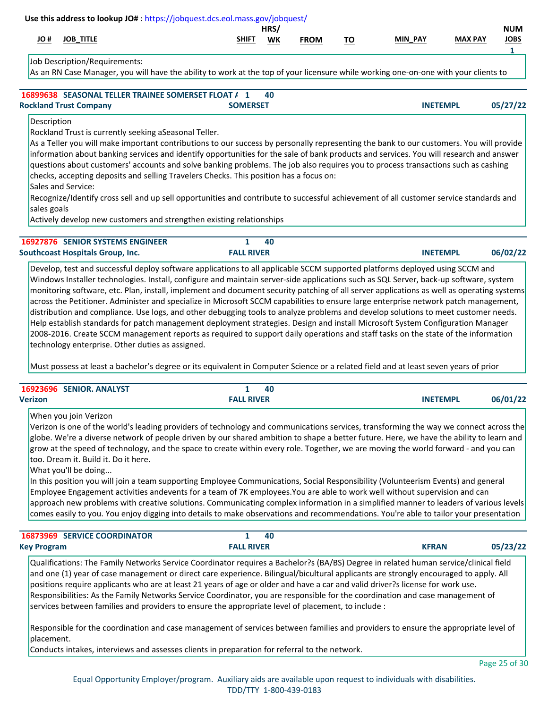| 10#                        | <b>JOB_TITLE</b>                                                                                                                                                                                                                                                                                                                                                                                                                                                                                                                                                                                                                                                                                                                                                                                                                                                                                                       |                                                                                                                            | SHIFT                             | HRS/<br>WK | <b>FROM</b> | <u>TO</u> | <b>MIN PAY</b>  | <b>MAX PAY</b> | <b>NUM</b><br><b>JOBS</b> |
|----------------------------|------------------------------------------------------------------------------------------------------------------------------------------------------------------------------------------------------------------------------------------------------------------------------------------------------------------------------------------------------------------------------------------------------------------------------------------------------------------------------------------------------------------------------------------------------------------------------------------------------------------------------------------------------------------------------------------------------------------------------------------------------------------------------------------------------------------------------------------------------------------------------------------------------------------------|----------------------------------------------------------------------------------------------------------------------------|-----------------------------------|------------|-------------|-----------|-----------------|----------------|---------------------------|
|                            | Job Description/Requirements:<br>As an RN Case Manager, you will have the ability to work at the top of your licensure while working one-on-one with your clients to                                                                                                                                                                                                                                                                                                                                                                                                                                                                                                                                                                                                                                                                                                                                                   |                                                                                                                            |                                   |            |             |           |                 |                | $\mathbf{1}$              |
|                            | 16899638 SEASONAL TELLER TRAINEE SOMERSET FLOAT A 1<br><b>Rockland Trust Company</b>                                                                                                                                                                                                                                                                                                                                                                                                                                                                                                                                                                                                                                                                                                                                                                                                                                   |                                                                                                                            | <b>SOMERSET</b>                   | 40         |             |           | <b>INETEMPL</b> |                | 05/27/22                  |
| Description<br>sales goals | Rockland Trust is currently seeking aSeasonal Teller.<br>As a Teller you will make important contributions to our success by personally representing the bank to our customers. You will provide<br>information about banking services and identify opportunities for the sale of bank products and services. You will research and answer<br>questions about customers' accounts and solve banking problems. The job also requires you to process transactions such as cashing<br>checks, accepting deposits and selling Travelers Checks. This position has a focus on:<br>Sales and Service:<br>Recognize/Identify cross sell and up sell opportunities and contribute to successful achievement of all customer service standards and<br>Actively develop new customers and strengthen existing relationships                                                                                                      |                                                                                                                            |                                   |            |             |           |                 |                |                           |
|                            | 16927876 SENIOR SYSTEMS ENGINEER<br><b>Southcoast Hospitals Group, Inc.</b>                                                                                                                                                                                                                                                                                                                                                                                                                                                                                                                                                                                                                                                                                                                                                                                                                                            |                                                                                                                            | $\mathbf{1}$<br><b>FALL RIVER</b> | 40         |             |           | <b>INETEMPL</b> |                | 06/02/22                  |
|                            | monitoring software, etc. Plan, install, implement and document security patching of all server applications as well as operating systems<br>across the Petitioner. Administer and specialize in Microsoft SCCM capabilities to ensure large enterprise network patch management,<br>distribution and compliance. Use logs, and other debugging tools to analyze problems and develop solutions to meet customer needs.<br>Help establish standards for patch management deployment strategies. Design and install Microsoft System Configuration Manager<br>2008-2016. Create SCCM management reports as required to support daily operations and staff tasks on the state of the information<br>technology enterprise. Other duties as assigned.<br>Must possess at least a bachelor's degree or its equivalent in Computer Science or a related field and at least seven years of prior<br>16923696 SENIOR. ANALYST |                                                                                                                            | $\mathbf{1}$                      | 40         |             |           |                 |                |                           |
| <b>Verizon</b>             |                                                                                                                                                                                                                                                                                                                                                                                                                                                                                                                                                                                                                                                                                                                                                                                                                                                                                                                        |                                                                                                                            | <b>FALL RIVER</b>                 |            |             |           | <b>INETEMPL</b> |                | 06/01/22                  |
|                            | When you join Verizon<br>Verizon is one of the world's leading providers of technology and communications services, transforming the way we connect across the<br>globe. We're a diverse network of people driven by our shared ambition to shape a better future. Here, we have the ability to learn and<br>grow at the speed of technology, and the space to create within every role. Together, we are moving the world forward - and you can<br>too. Dream it. Build it. Do it here.<br>What you'll be doing<br>In this position you will join a team supporting Employee Communications, Social Responsibility (Volunteerism Events) and general                                                                                                                                                                                                                                                                  | Employee Engagement activities andevents for a team of 7K employees. You are able to work well without supervision and can |                                   |            |             |           |                 |                |                           |
|                            | approach new problems with creative solutions. Communicating complex information in a simplified manner to leaders of various levels<br>comes easily to you. You enjoy digging into details to make observations and recommendations. You're able to tailor your presentation                                                                                                                                                                                                                                                                                                                                                                                                                                                                                                                                                                                                                                          |                                                                                                                            |                                   |            |             |           |                 |                |                           |
|                            | <b>16873969 SERVICE COORDINATOR</b>                                                                                                                                                                                                                                                                                                                                                                                                                                                                                                                                                                                                                                                                                                                                                                                                                                                                                    |                                                                                                                            | 1<br><b>FALL RIVER</b>            | 40         |             |           | <b>KFRAN</b>    |                |                           |
| <b>Key Program</b>         | Qualifications: The Family Networks Service Coordinator requires a Bachelor?s (BA/BS) Degree in related human service/clinical field<br>and one (1) year of case management or direct care experience. Bilingual/bicultural applicants are strongly encouraged to apply. All<br>positions require applicants who are at least 21 years of age or older and have a car and valid driver?s license for work use.<br>Responsibilities: As the Family Networks Service Coordinator, you are responsible for the coordination and case management of<br>services between families and providers to ensure the appropriate level of placement, to include :                                                                                                                                                                                                                                                                  |                                                                                                                            |                                   |            |             |           |                 |                | 05/23/22                  |

Page 25 of 30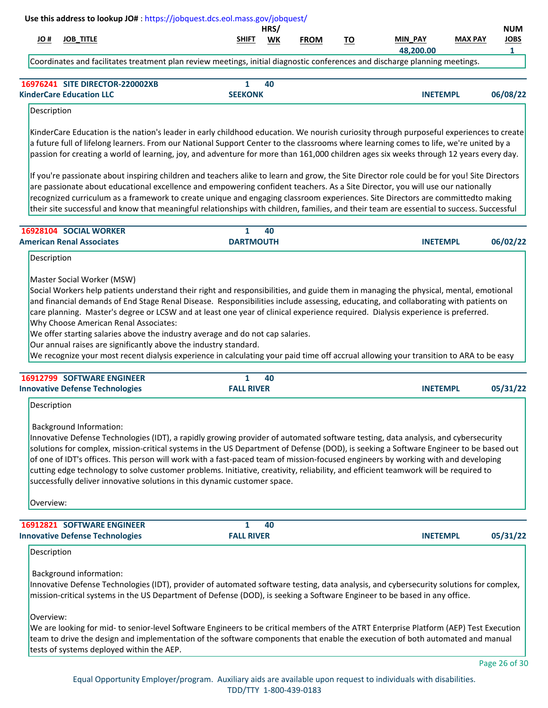| # OL        | <b>JOB_TITLE</b>                                                                                                                                                                                                                                                                                                                                                                                                                                                                                                                                                                                                                                                      | SHIFT                             | HRS/<br>WK | <b>FROM</b> | <u>TO</u> | MIN_PAY         | <b>MAX PAY</b> | <b>NUM</b><br><b>JOBS</b> |
|-------------|-----------------------------------------------------------------------------------------------------------------------------------------------------------------------------------------------------------------------------------------------------------------------------------------------------------------------------------------------------------------------------------------------------------------------------------------------------------------------------------------------------------------------------------------------------------------------------------------------------------------------------------------------------------------------|-----------------------------------|------------|-------------|-----------|-----------------|----------------|---------------------------|
|             | Coordinates and facilitates treatment plan review meetings, initial diagnostic conferences and discharge planning meetings.                                                                                                                                                                                                                                                                                                                                                                                                                                                                                                                                           |                                   |            |             |           | 48,200.00       |                | 1                         |
|             |                                                                                                                                                                                                                                                                                                                                                                                                                                                                                                                                                                                                                                                                       |                                   |            |             |           |                 |                |                           |
|             | 16976241 SITE DIRECTOR-220002XB<br><b>KinderCare Education LLC</b>                                                                                                                                                                                                                                                                                                                                                                                                                                                                                                                                                                                                    | $\mathbf{1}$<br><b>SEEKONK</b>    | 40         |             |           | <b>INETEMPL</b> |                | 06/08/22                  |
| Description |                                                                                                                                                                                                                                                                                                                                                                                                                                                                                                                                                                                                                                                                       |                                   |            |             |           |                 |                |                           |
|             | KinderCare Education is the nation's leader in early childhood education. We nourish curiosity through purposeful experiences to create<br>a future full of lifelong learners. From our National Support Center to the classrooms where learning comes to life, we're united by a<br>passion for creating a world of learning, joy, and adventure for more than 161,000 children ages six weeks through 12 years every day.                                                                                                                                                                                                                                           |                                   |            |             |           |                 |                |                           |
|             | If you're passionate about inspiring children and teachers alike to learn and grow, the Site Director role could be for you! Site Directors<br>are passionate about educational excellence and empowering confident teachers. As a Site Director, you will use our nationally<br>recognized curriculum as a framework to create unique and engaging classroom experiences. Site Directors are committedto making<br>their site successful and know that meaningful relationships with children, families, and their team are essential to success. Successful                                                                                                         |                                   |            |             |           |                 |                |                           |
|             | 16928104 SOCIAL WORKER                                                                                                                                                                                                                                                                                                                                                                                                                                                                                                                                                                                                                                                | $\mathbf{1}$                      | 40         |             |           |                 |                |                           |
| Description | <b>American Renal Associates</b>                                                                                                                                                                                                                                                                                                                                                                                                                                                                                                                                                                                                                                      | <b>DARTMOUTH</b>                  |            |             |           | <b>INETEMPL</b> |                | 06/02/22                  |
|             | Our annual raises are significantly above the industry standard.<br>We recognize your most recent dialysis experience in calculating your paid time off accrual allowing your transition to ARA to be easy<br>16912799 SOFTWARE ENGINEER                                                                                                                                                                                                                                                                                                                                                                                                                              | $\mathbf{1}$                      | 40         |             |           |                 |                |                           |
| Description | <b>Innovative Defense Technologies</b>                                                                                                                                                                                                                                                                                                                                                                                                                                                                                                                                                                                                                                | <b>FALL RIVER</b>                 |            |             |           | <b>INETEMPL</b> |                | 05/31/22                  |
|             | <b>Background Information:</b><br>Innovative Defense Technologies (IDT), a rapidly growing provider of automated software testing, data analysis, and cybersecurity<br>solutions for complex, mission-critical systems in the US Department of Defense (DOD), is seeking a Software Engineer to be based out<br>of one of IDT's offices. This person will work with a fast-paced team of mission-focused engineers by working with and developing<br>cutting edge technology to solve customer problems. Initiative, creativity, reliability, and efficient teamwork will be required to<br>successfully deliver innovative solutions in this dynamic customer space. |                                   |            |             |           |                 |                |                           |
| Overview:   |                                                                                                                                                                                                                                                                                                                                                                                                                                                                                                                                                                                                                                                                       |                                   |            |             |           |                 |                |                           |
|             | 16912821 SOFTWARE ENGINEER<br><b>Innovative Defense Technologies</b>                                                                                                                                                                                                                                                                                                                                                                                                                                                                                                                                                                                                  | $\mathbf{1}$<br><b>FALL RIVER</b> | 40         |             |           | <b>INETEMPL</b> |                | 05/31/22                  |
| Description |                                                                                                                                                                                                                                                                                                                                                                                                                                                                                                                                                                                                                                                                       |                                   |            |             |           |                 |                |                           |
|             | Background information:<br>Innovative Defense Technologies (IDT), provider of automated software testing, data analysis, and cybersecurity solutions for complex,<br>mission-critical systems in the US Department of Defense (DOD), is seeking a Software Engineer to be based in any office.                                                                                                                                                                                                                                                                                                                                                                        |                                   |            |             |           |                 |                |                           |
| Overview:   | We are looking for mid- to senior-level Software Engineers to be critical members of the ATRT Enterprise Platform (AEP) Test Execution<br>team to drive the design and implementation of the software components that enable the execution of both automated and manual                                                                                                                                                                                                                                                                                                                                                                                               |                                   |            |             |           |                 |                |                           |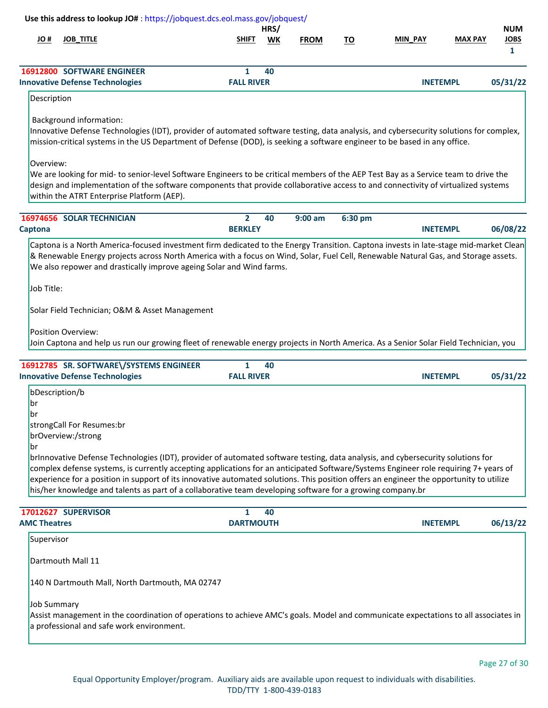|                                   |                                                                                   | Use this address to lookup JO#: https://jobquest.dcs.eol.mass.gov/jobquest/                                                                                                                                                                                                                                                                                                                                                                                                                                                                      |            |             |           |                 |                |                                |
|-----------------------------------|-----------------------------------------------------------------------------------|--------------------------------------------------------------------------------------------------------------------------------------------------------------------------------------------------------------------------------------------------------------------------------------------------------------------------------------------------------------------------------------------------------------------------------------------------------------------------------------------------------------------------------------------------|------------|-------------|-----------|-----------------|----------------|--------------------------------|
| # JO                              | <b>JOB_TITLE</b>                                                                  | <b>SHIFT</b>                                                                                                                                                                                                                                                                                                                                                                                                                                                                                                                                     | HRS/<br>WK | <b>FROM</b> | <u>TO</u> | MIN PAY         | <b>MAX PAY</b> | <b>NUM</b><br><b>JOBS</b><br>1 |
|                                   | 16912800 SOFTWARE ENGINEER<br><b>Innovative Defense Technologies</b>              | 1<br><b>FALL RIVER</b>                                                                                                                                                                                                                                                                                                                                                                                                                                                                                                                           | 40         |             |           | <b>INETEMPL</b> |                | 05/31/22                       |
| Description                       |                                                                                   |                                                                                                                                                                                                                                                                                                                                                                                                                                                                                                                                                  |            |             |           |                 |                |                                |
| Overview:                         | <b>Background information:</b><br>within the ATRT Enterprise Platform (AEP).      | Innovative Defense Technologies (IDT), provider of automated software testing, data analysis, and cybersecurity solutions for complex,<br>mission-critical systems in the US Department of Defense (DOD), is seeking a software engineer to be based in any office.<br>We are looking for mid- to senior-level Software Engineers to be critical members of the AEP Test Bay as a Service team to drive the<br>design and implementation of the software components that provide collaborative access to and connectivity of virtualized systems |            |             |           |                 |                |                                |
|                                   | 16974656 SOLAR TECHNICIAN                                                         | $\overline{2}$                                                                                                                                                                                                                                                                                                                                                                                                                                                                                                                                   | 40         | $9:00$ am   | 6:30 pm   |                 |                |                                |
| Captona                           |                                                                                   | <b>BERKLEY</b>                                                                                                                                                                                                                                                                                                                                                                                                                                                                                                                                   |            |             |           | <b>INETEMPL</b> |                | 06/08/22                       |
| Job Title:                        | Solar Field Technician; O&M & Asset Management<br><b>Position Overview:</b>       | We also repower and drastically improve ageing Solar and Wind farms.<br>Join Captona and help us run our growing fleet of renewable energy projects in North America. As a Senior Solar Field Technician, you                                                                                                                                                                                                                                                                                                                                    |            |             |           |                 |                |                                |
|                                   | 16912785 SR. SOFTWARE\/SYSTEMS ENGINEER<br><b>Innovative Defense Technologies</b> | $\mathbf{1}$<br><b>FALL RIVER</b>                                                                                                                                                                                                                                                                                                                                                                                                                                                                                                                | 40         |             |           | <b>INETEMPL</b> |                | 05/31/22                       |
| bDescription/b<br>br<br> br<br>br | strongCall For Resumes:br<br>brOverview:/strong                                   | brInnovative Defense Technologies (IDT), provider of automated software testing, data analysis, and cybersecurity solutions for<br>complex defense systems, is currently accepting applications for an anticipated Software/Systems Engineer role requiring 7+ years of<br>experience for a position in support of its innovative automated solutions. This position offers an engineer the opportunity to utilize<br>his/her knowledge and talents as part of a collaborative team developing software for a growing company.br                 |            |             |           |                 |                |                                |
|                                   | 17012627 SUPERVISOR                                                               | $\mathbf{1}$                                                                                                                                                                                                                                                                                                                                                                                                                                                                                                                                     | 40         |             |           |                 |                |                                |
| <b>AMC Theatres</b>               |                                                                                   | <b>DARTMOUTH</b>                                                                                                                                                                                                                                                                                                                                                                                                                                                                                                                                 |            |             |           | <b>INETEMPL</b> |                | 06/13/22                       |
|                                   | Supervisor                                                                        |                                                                                                                                                                                                                                                                                                                                                                                                                                                                                                                                                  |            |             |           |                 |                |                                |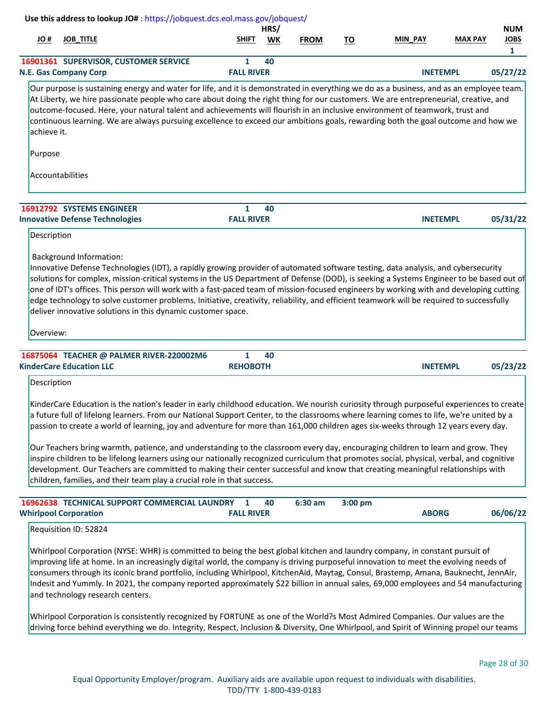|             | Use this address to lookup JO#: https://jobquest.dcs.eol.mass.gov/jobquest/                                                                                                                                                                                                                                                                                                                                                                                                                                                                                                                                                                                                                                                                                                                                                                                                                                           |                                   |            |             |           |                 |                |                                           |
|-------------|-----------------------------------------------------------------------------------------------------------------------------------------------------------------------------------------------------------------------------------------------------------------------------------------------------------------------------------------------------------------------------------------------------------------------------------------------------------------------------------------------------------------------------------------------------------------------------------------------------------------------------------------------------------------------------------------------------------------------------------------------------------------------------------------------------------------------------------------------------------------------------------------------------------------------|-----------------------------------|------------|-------------|-----------|-----------------|----------------|-------------------------------------------|
| # OL        | <b>JOB_TITLE</b>                                                                                                                                                                                                                                                                                                                                                                                                                                                                                                                                                                                                                                                                                                                                                                                                                                                                                                      | <b>SHIFT</b>                      | HRS/<br>WK | <b>FROM</b> | <u>TO</u> | MIN_PAY         | <b>MAX PAY</b> | <b>NUM</b><br><b>JOBS</b><br>$\mathbf{1}$ |
|             | 16901361 SUPERVISOR, CUSTOMER SERVICE<br><b>N.E. Gas Company Corp</b>                                                                                                                                                                                                                                                                                                                                                                                                                                                                                                                                                                                                                                                                                                                                                                                                                                                 | 1<br><b>FALL RIVER</b>            | 40         |             |           | <b>INETEMPL</b> |                | 05/27/22                                  |
| achieve it. | Our purpose is sustaining energy and water for life, and it is demonstrated in everything we do as a business, and as an employee team.<br>At Liberty, we hire passionate people who care about doing the right thing for our customers. We are entrepreneurial, creative, and<br>outcome-focused. Here, your natural talent and achievements will flourish in an inclusive environment of teamwork, trust and<br>continuous learning. We are always pursuing excellence to exceed our ambitions goals, rewarding both the goal outcome and how we                                                                                                                                                                                                                                                                                                                                                                    |                                   |            |             |           |                 |                |                                           |
| Purpose     |                                                                                                                                                                                                                                                                                                                                                                                                                                                                                                                                                                                                                                                                                                                                                                                                                                                                                                                       |                                   |            |             |           |                 |                |                                           |
|             | Accountabilities                                                                                                                                                                                                                                                                                                                                                                                                                                                                                                                                                                                                                                                                                                                                                                                                                                                                                                      |                                   |            |             |           |                 |                |                                           |
|             | 16912792 SYSTEMS ENGINEER<br><b>Innovative Defense Technologies</b>                                                                                                                                                                                                                                                                                                                                                                                                                                                                                                                                                                                                                                                                                                                                                                                                                                                   | $\mathbf{1}$<br><b>FALL RIVER</b> | 40         |             |           | <b>INETEMPL</b> |                | 05/31/22                                  |
| Description |                                                                                                                                                                                                                                                                                                                                                                                                                                                                                                                                                                                                                                                                                                                                                                                                                                                                                                                       |                                   |            |             |           |                 |                |                                           |
|             | <b>Background Information:</b><br>Innovative Defense Technologies (IDT), a rapidly growing provider of automated software testing, data analysis, and cybersecurity<br>solutions for complex, mission-critical systems in the US Department of Defense (DOD), is seeking a Systems Engineer to be based out of<br>one of IDT's offices. This person will work with a fast-paced team of mission-focused engineers by working with and developing cutting<br>edge technology to solve customer problems. Initiative, creativity, reliability, and efficient teamwork will be required to successfully<br>deliver innovative solutions in this dynamic customer space.                                                                                                                                                                                                                                                  |                                   |            |             |           |                 |                |                                           |
| Overview:   |                                                                                                                                                                                                                                                                                                                                                                                                                                                                                                                                                                                                                                                                                                                                                                                                                                                                                                                       |                                   |            |             |           |                 |                |                                           |
|             | 16875064 TEACHER @ PALMER RIVER-220002M6<br><b>KinderCare Education LLC</b>                                                                                                                                                                                                                                                                                                                                                                                                                                                                                                                                                                                                                                                                                                                                                                                                                                           | 1<br><b>REHOBOTH</b>              | 40         |             |           | <b>INETEMPL</b> |                | 05/23/22                                  |
| Description |                                                                                                                                                                                                                                                                                                                                                                                                                                                                                                                                                                                                                                                                                                                                                                                                                                                                                                                       |                                   |            |             |           |                 |                |                                           |
|             | KinderCare Education is the nation's leader in early childhood education. We nourish curiosity through purposeful experiences to create<br>a future full of lifelong learners. From our National Support Center, to the classrooms where learning comes to life, we're united by a<br>passion to create a world of learning, joy and adventure for more than 161,000 children ages six-weeks through 12 years every day.<br>Our Teachers bring warmth, patience, and understanding to the classroom every day, encouraging children to learn and grow. They<br>inspire children to be lifelong learners using our nationally recognized curriculum that promotes social, physical, verbal, and cognitive<br>development. Our Teachers are committed to making their center successful and know that creating meaningful relationships with<br>children, families, and their team play a crucial role in that success. |                                   |            |             |           |                 |                |                                           |
|             | 16962638 TECHNICAL SUPPORT COMMERCIAL LAUNDRY                                                                                                                                                                                                                                                                                                                                                                                                                                                                                                                                                                                                                                                                                                                                                                                                                                                                         | 1                                 | 40         | 6:30 am     | 3:00 pm   |                 |                |                                           |
|             | <b>Whirlpool Corporation</b>                                                                                                                                                                                                                                                                                                                                                                                                                                                                                                                                                                                                                                                                                                                                                                                                                                                                                          | <b>FALL RIVER</b>                 |            |             |           | <b>ABORG</b>    |                | 06/06/22                                  |
|             | Requisition ID: 52824                                                                                                                                                                                                                                                                                                                                                                                                                                                                                                                                                                                                                                                                                                                                                                                                                                                                                                 |                                   |            |             |           |                 |                |                                           |
|             | Whirlpool Corporation (NYSE: WHR) is committed to being the best global kitchen and laundry company, in constant pursuit of<br>improving life at home. In an increasingly digital world, the company is driving purposeful innovation to meet the evolving needs of<br>consumers through its iconic brand portfolio, including Whirlpool, KitchenAid, Maytag, Consul, Brastemp, Amana, Bauknecht, JennAir,<br>Indesit and Yummly. In 2021, the company reported approximately \$22 billion in annual sales, 69,000 employees and 54 manufacturing<br>and technology research centers.                                                                                                                                                                                                                                                                                                                                 |                                   |            |             |           |                 |                |                                           |
|             | Whirlpool Corporation is consistently recognized by FORTUNE as one of the World?s Most Admired Companies. Our values are the<br>driving force behind everything we do. Integrity, Respect, Inclusion & Diversity, One Whirlpool, and Spirit of Winning propel our teams                                                                                                                                                                                                                                                                                                                                                                                                                                                                                                                                                                                                                                               |                                   |            |             |           |                 |                |                                           |
|             |                                                                                                                                                                                                                                                                                                                                                                                                                                                                                                                                                                                                                                                                                                                                                                                                                                                                                                                       |                                   |            |             |           |                 |                | Page 28 of 30                             |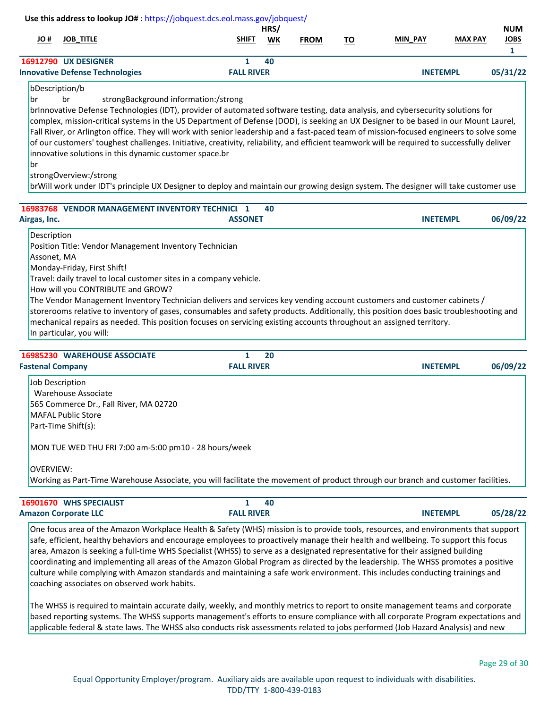|      |                             | Use this address to lookup JO#: https://jobquest.dcs.eol.mass.gov/jobquest/                                                         |                   |      |             |    |                 |                |             |
|------|-----------------------------|-------------------------------------------------------------------------------------------------------------------------------------|-------------------|------|-------------|----|-----------------|----------------|-------------|
|      |                             |                                                                                                                                     |                   | HRS/ |             |    |                 |                | <b>NUM</b>  |
| # JO | <b>JOB TITLE</b>            |                                                                                                                                     | <b>SHIFT</b>      | WK   | <b>FROM</b> | ΤО | <b>MIN PAY</b>  | <b>MAX PAY</b> | <b>JOBS</b> |
|      |                             |                                                                                                                                     |                   |      |             |    |                 |                |             |
|      | <b>16912790 UX DESIGNER</b> |                                                                                                                                     |                   | 40   |             |    |                 |                |             |
|      |                             | <b>Innovative Defense Technologies</b>                                                                                              | <b>FALL RIVER</b> |      |             |    | <b>INETEMPL</b> |                | 05/31/22    |
|      | bDescription/b              |                                                                                                                                     |                   |      |             |    |                 |                |             |
| Ibr  | br                          | strongBackground information:/strong                                                                                                |                   |      |             |    |                 |                |             |
|      |                             | brinnovative Defense Technologies (IDT), provider of automated software testing, data analysis, and cybersecurity solutions for     |                   |      |             |    |                 |                |             |
|      |                             | complex, mission-critical systems in the US Department of Defense (DOD), is seeking an UX Designer to be based in our Mount Laurel, |                   |      |             |    |                 |                |             |

Fall River, or Arlington office. They will work with senior leadership and a fast-paced team of mission-focused engineers to solve some of our customers' toughest challenges. Initiative, creativity, reliability, and efficient teamwork will be required to successfully deliver innovative solutions in this dynamic customer space.br

br

# strongOverview:/strong

brWill work under IDT's principle UX Designer to deploy and maintain our growing design system. The designer will take customer use

|              | 16983768 VENDOR MANAGEMENT INVENTORY TECHNICL 1 | 40 |                 |          |
|--------------|-------------------------------------------------|----|-----------------|----------|
| Airgas, Inc. | <b>ASSONET</b>                                  |    | <b>INETEMPL</b> | 06/09/22 |
| Description  |                                                 |    |                 |          |

Position Title: Vendor Management Inventory Technician

Assonet, MA Monday-Friday, First Shift!

Travel: daily travel to local customer sites in a company vehicle.

How will you CONTRIBUTE and GROW?

The Vendor Management Inventory Technician delivers and services key vending account customers and customer cabinets / storerooms relative to inventory of gases, consumables and safety products. Additionally, this position does basic troubleshooting and mechanical repairs as needed. This position focuses on servicing existing accounts throughout an assigned territory. In particular, you will:

| <b>16985230 WAREHOUSE ASSOCIATE</b>                                                                                               | 20                | <b>INETEMPL</b> |          |
|-----------------------------------------------------------------------------------------------------------------------------------|-------------------|-----------------|----------|
| <b>Fastenal Company</b>                                                                                                           | <b>FALL RIVER</b> |                 | 06/09/22 |
| Job Description                                                                                                                   |                   |                 |          |
| Warehouse Associate                                                                                                               |                   |                 |          |
| 565 Commerce Dr., Fall River, MA 02720                                                                                            |                   |                 |          |
| MAFAL Public Store                                                                                                                |                   |                 |          |
| Part-Time Shift(s):                                                                                                               |                   |                 |          |
| MON TUE WED THU FRI 7:00 am-5:00 pm10 - 28 hours/week                                                                             |                   |                 |          |
| <b>OVERVIEW:</b>                                                                                                                  |                   |                 |          |
| Working as Part-Time Warehouse Associate, you will facilitate the movement of product through our branch and customer facilities. |                   |                 |          |

| <b>16901670 WHS SPECIALIST</b> |                   | 40 |                 |          |
|--------------------------------|-------------------|----|-----------------|----------|
| <b>Amazon Corporate LLC</b>    | <b>FALL RIVER</b> |    | <b>INETEMPL</b> | 05/28/22 |

One focus area of the Amazon Workplace Health & Safety (WHS) mission is to provide tools, resources, and environments that support safe, efficient, healthy behaviors and encourage employees to proactively manage their health and wellbeing. To support this focus area, Amazon is seeking a full-time WHS Specialist (WHSS) to serve as a designated representative for their assigned building coordinating and implementing all areas of the Amazon Global Program as directed by the leadership. The WHSS promotes a positive culture while complying with Amazon standards and maintaining a safe work environment. This includes conducting trainings and coaching associates on observed work habits.

The WHSS is required to maintain accurate daily, weekly, and monthly metrics to report to onsite management teams and corporate based reporting systems. The WHSS supports management's efforts to ensure compliance with all corporate Program expectations and applicable federal & state laws. The WHSS also conducts risk assessments related to jobs performed (Job Hazard Analysis) and new